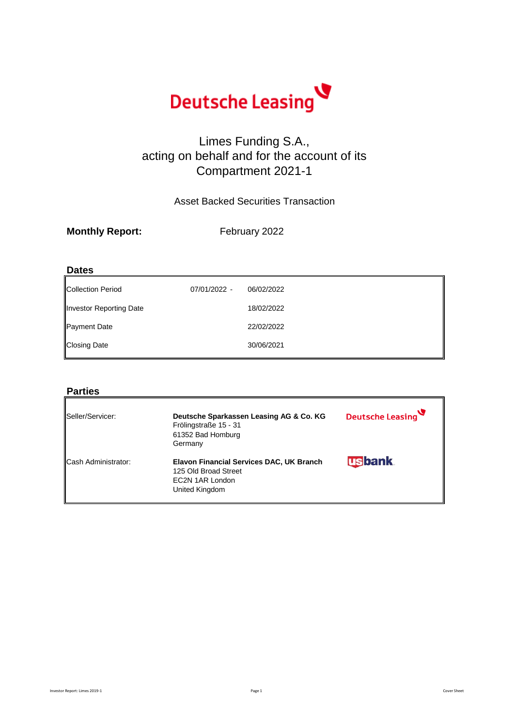

# Limes Funding S.A., acting on behalf and for the account of its Compartment 2021-1

Asset Backed Securities Transaction

| <b>Monthly Report:</b> | February 2022 |
|------------------------|---------------|
|                        |               |

### **Dates**

| Collection Period       | 07/01/2022 - | 06/02/2022 |
|-------------------------|--------------|------------|
| Investor Reporting Date |              | 18/02/2022 |
| Payment Date            |              | 22/02/2022 |
| <b>Closing Date</b>     |              | 30/06/2021 |

### **Parties**

| Seller/Servicer:           | Deutsche Sparkassen Leasing AG & Co. KG<br>Frölingstraße 15 - 31<br>61352 Bad Homburg<br>Germany      | Deutsche Leasing |
|----------------------------|-------------------------------------------------------------------------------------------------------|------------------|
| <b>Cash Administrator:</b> | Elavon Financial Services DAC, UK Branch<br>125 Old Broad Street<br>EC2N 1AR London<br>United Kingdom | <b>usbank</b>    |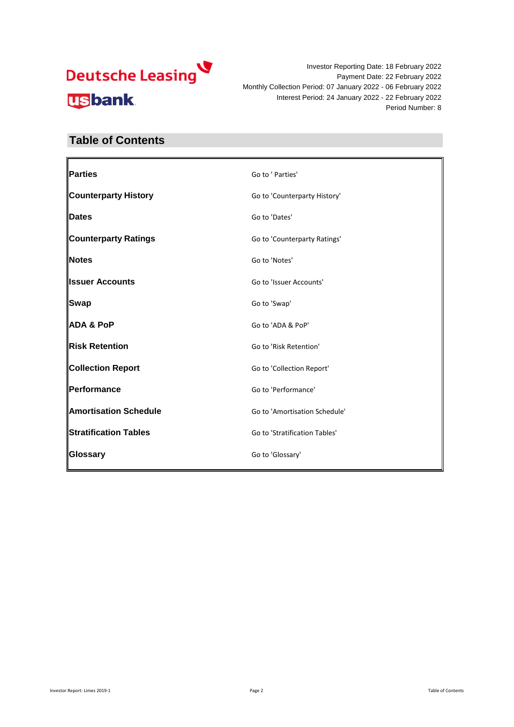Investor Reporting Date: 18 February 2022 Payment Date: 22 February 2022 Monthly Collection Period: 07 January 2022 - 06 February 2022 Interest Period: 24 January 2022 - 22 February 2022 Period Number: 8

# **Table of Contents**

| Parties                      | Go to ' Parties'              |
|------------------------------|-------------------------------|
| <b>Counterparty History</b>  | Go to 'Counterparty History'  |
| <b>Dates</b>                 | Go to 'Dates'                 |
| <b>Counterparty Ratings</b>  | Go to 'Counterparty Ratings'  |
| Notes                        | Go to 'Notes'                 |
| <b>Issuer Accounts</b>       | Go to 'Issuer Accounts'       |
| <b>Swap</b>                  | Go to 'Swap'                  |
| <b>ADA &amp; PoP</b>         | Go to 'ADA & PoP'             |
| Risk Retention               | Go to 'Risk Retention'        |
| <b>Collection Report</b>     | Go to 'Collection Report'     |
| Performance                  | Go to 'Performance'           |
| <b>Amortisation Schedule</b> | Go to 'Amortisation Schedule' |
| <b>Stratification Tables</b> | Go to 'Stratification Tables' |
| Glossary                     | Go to 'Glossary'              |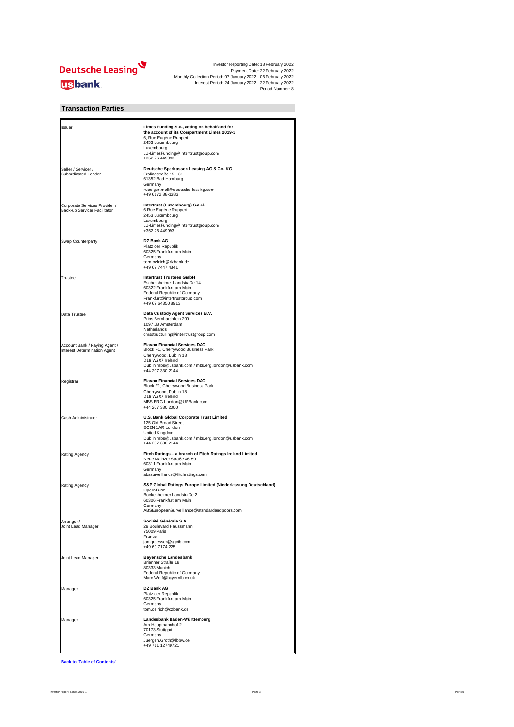

#### **Transaction Parties**

| Issuer                                                        | Limes Funding S.A., acting on behalf and for<br>the account of its Compartment Limes 2019-1<br>6, Rue Eugène Ruppert<br>2453 Luxembourg<br>Luxembourg<br>LU-LimesFunding@Intertrustgroup.com<br>+352 26 449993 |
|---------------------------------------------------------------|----------------------------------------------------------------------------------------------------------------------------------------------------------------------------------------------------------------|
| Seller / Servicer /<br>Subordinated Lender                    | Deutsche Sparkassen Leasing AG & Co. KG<br>Frölingstraße 15 - 31<br>61352 Bad Homburg<br>Germany<br>ruediger.moll@deutsche-leasing.com<br>+49 6172 88-1383                                                     |
| Corporate Services Provider /<br>Back-up Servicer Facilitator | Intertrust (Luxembourg) S.a.r.l.<br>6 Rue Eugène Ruppert<br>2453 Luxembourg<br>Luxembourg<br>LU-LimesFunding@Intertrustgroup.com<br>+352 26 449993                                                             |
| Swap Counterparty                                             | <b>DZ Bank AG</b><br>Platz der Republik<br>60325 Frankfurt am Main<br>Germany<br>tom.oelrich@dzbank.de<br>+49 69 7447 4341                                                                                     |
| Trustee                                                       | <b>Intertrust Trustees GmbH</b><br>Eschersheimer Landstraße 14<br>60322 Frankfurt am Main<br>Federal Republic of Germany<br>Frankfurt@intertrustgroup.com<br>+49 69 64350 8913                                 |
| Data Trustee                                                  | Data Custody Agent Services B.V.<br>Prins Bernhardplein 200<br>1097 JB Amsterdam<br>Netherlands<br>cmsstructuring@intertrustgroup.com                                                                          |
| Account Bank / Paying Agent /<br>Interest Determination Agent | <b>Elavon Financial Services DAC</b><br>Block F1, Cherrywood Business Park<br>Cherrywood, Dublin 18<br>D18 W2X7 Ireland<br>Dublin.mbs@usbank.com / mbs.erg.london@usbank.com<br>+44 207 330 2144               |
| Registrar                                                     | <b>Elavon Financial Services DAC</b><br>Block F1, Cherrywood Business Park<br>Cherrywood, Dublin 18<br>D18 W2X7 Ireland<br>MBS.ERG.London@USBank.com<br>+44 207 330 2000                                       |
| Cash Administrator                                            | U.S. Bank Global Corporate Trust Limited<br>125 Old Broad Street<br>EC2N 1AR London<br>United Kingdom<br>Dublin.mbs@usbank.com / mbs.erg.london@usbank.com<br>+44 207 330 2144                                 |
| Rating Agency                                                 | Fitch Ratings - a branch of Fitch Ratings Ireland Limited<br>Neue Mainzer Straße 46-50<br>60311 Frankfurt am Main<br>Germany<br>abssurveillance@fitchratings.com                                               |
| Rating Agency                                                 | S&P Global Ratings Europe Limited (Niederlassung Deutschland)<br>OpernTurm<br>Bockenheimer Landstraße 2<br>60306 Frankfurt am Main<br>Germany<br>ABSEuropeanSurveillance@standardandpoors.com                  |
| Arranger /<br>Joint Lead Manager                              | Société Générale S.A.<br>29 Boulevard Haussmann<br>75009 Paris<br>France<br>jan.groesser@sgcib.com<br>+49 69 7174 225                                                                                          |
| Joint Lead Manager                                            | <b>Bayerische Landesbank</b><br>Brienner Straße 18<br>80333 Munich<br>Federal Republic of Germany<br>Marc.Wolf@bayernlb.co.uk                                                                                  |
| Manager                                                       | DZ Bank AG<br>Platz der Republik<br>60325 Frankfurt am Main<br>Germany<br>tom.oelrich@dzbank.de                                                                                                                |
| Manager                                                       | Landesbank Baden-Württemberg<br>Am Hauptbahnhof 2<br>70173 Stuttgart<br>Germany<br>Juergen.Groth@lbbw.de<br>+49 711 12749721                                                                                   |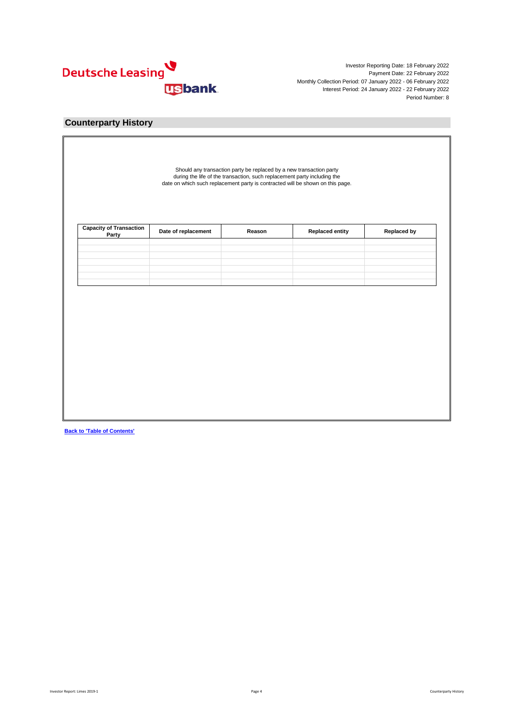

### **Counterparty History**

| Party |  |  |
|-------|--|--|
|       |  |  |
|       |  |  |
|       |  |  |
|       |  |  |
|       |  |  |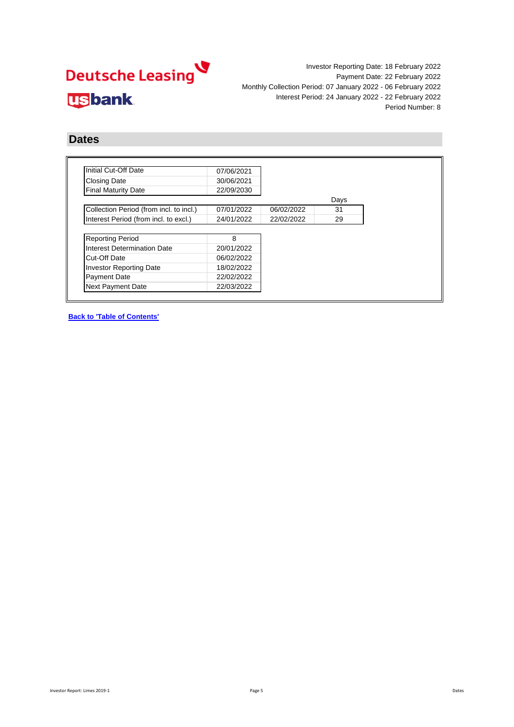

## **Dates**

| Initial Cut-Off Date                    | 07/06/2021 |            |      |
|-----------------------------------------|------------|------------|------|
| <b>Closing Date</b>                     | 30/06/2021 |            |      |
| <b>Final Maturity Date</b>              | 22/09/2030 |            |      |
|                                         |            |            | Days |
| Collection Period (from incl. to incl.) | 07/01/2022 | 06/02/2022 | 31   |
| Interest Period (from incl. to excl.)   | 24/01/2022 | 22/02/2022 | 29   |
|                                         |            |            |      |
| <b>Reporting Period</b>                 | 8          |            |      |
| Interest Determination Date             | 20/01/2022 |            |      |
| Cut-Off Date                            | 06/02/2022 |            |      |
| <b>Investor Reporting Date</b>          | 18/02/2022 |            |      |
| <b>Payment Date</b>                     | 22/02/2022 |            |      |
| Next Payment Date                       | 22/03/2022 |            |      |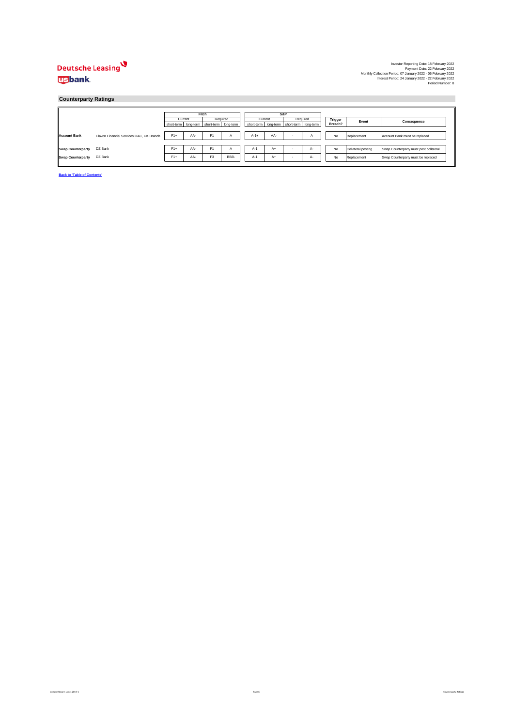#### **Counterparty Ratings**

|                          |                                          |       | Fitch                                           |                |              | S&P     |      |   |                                                 |         |                    |                                        |
|--------------------------|------------------------------------------|-------|-------------------------------------------------|----------------|--------------|---------|------|---|-------------------------------------------------|---------|--------------------|----------------------------------------|
|                          |                                          |       | Current                                         |                | Required     | Current |      |   | Required                                        | Trigger | Event              | Consequence                            |
|                          |                                          |       | short-term   long-term   short-term   long-term |                |              |         |      |   | short-term   long-term   short-term   long-term | Breach? |                    |                                        |
|                          |                                          |       |                                                 |                |              |         |      |   |                                                 |         |                    |                                        |
| <b>Account Bank</b>      | Elavon Financial Services DAC, UK Branch | $F1+$ | AA-                                             | F <sub>1</sub> | $\mathsf{A}$ | $A-1+$  | AA-  | ٠ | ñ                                               | No      | Replacement        | Account Bank must be replaced          |
|                          |                                          |       |                                                 |                |              |         |      |   |                                                 |         |                    |                                        |
| <b>Swap Counterparty</b> | DZ Bank                                  | $F1+$ | AA-                                             | F1             | A            | $A-1$   | $A+$ |   | A-                                              | No      | Collateral posting | Swap Counterparty must post collateral |
|                          |                                          |       |                                                 |                |              |         |      |   |                                                 |         |                    |                                        |
| <b>Swap Counterparty</b> | DZ Bank                                  | $F1+$ | AA-                                             | F <sub>3</sub> | BBB-         | $A-1$   | $A+$ |   | A-                                              | No      | Replacement        | Swap Counterparty must be replaced     |
|                          |                                          |       |                                                 |                |              |         |      |   |                                                 |         |                    |                                        |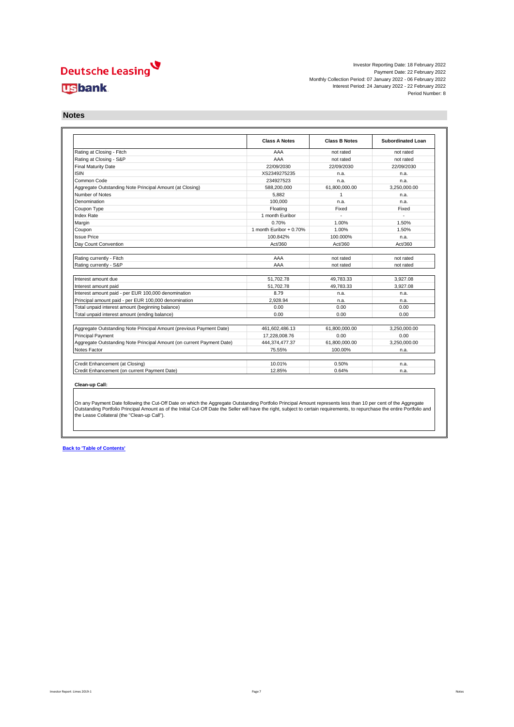Investor Reporting Date: 18 February 2022 Payment Date: 22 February 2022 Monthly Collection Period: 07 January 2022 - 06 February 2022 Interest Period: 24 January 2022 - 22 February 2022 Period Number: 8

**Notes**

|                                                                       | <b>Class A Notes</b>    | <b>Class B Notes</b> | <b>Subordinated Loan</b> |
|-----------------------------------------------------------------------|-------------------------|----------------------|--------------------------|
| Rating at Closing - Fitch                                             | AAA                     | not rated            | not rated                |
| Rating at Closing - S&P                                               | AAA                     | not rated            | not rated                |
| <b>Final Maturity Date</b>                                            | 22/09/2030              | 22/09/2030           | 22/09/2030               |
| <b>ISIN</b>                                                           | XS2349275235            | n.a.                 | n.a.                     |
| Common Code                                                           | 234927523               | n.a.                 | n.a.                     |
| Aggregate Outstanding Note Principal Amount (at Closing)              | 588.200.000             | 61.800.000.00        | 3.250.000.00             |
| Number of Notes                                                       | 5.882                   | $\mathbf{1}$         | n.a.                     |
| Denomination                                                          | 100.000                 | n.a.                 | n.a.                     |
| Coupon Type                                                           | Floating                | Fixed                | Fixed                    |
| <b>Index Rate</b>                                                     | 1 month Euribor         |                      |                          |
| Margin                                                                | 0.70%                   | 1.00%                | 1.50%                    |
| Coupon                                                                | 1 month Euribor + 0.70% | 1.00%                | 1.50%                    |
| <b>Issue Price</b>                                                    | 100.842%                | 100.000%             | n.a.                     |
| Day Count Convention                                                  | Act/360                 | Act/360              | Act/360                  |
| Rating currently - Fitch                                              | AAA                     | not rated            | not rated                |
| Rating currently - S&P                                                | AAA                     | not rated            | not rated                |
| Interest amount due                                                   | 51.702.78               | 49.783.33            | 3.927.08                 |
| Interest amount paid                                                  | 51.702.78               | 49.783.33            | 3.927.08                 |
| Interest amount paid - per EUR 100,000 denomination                   | 8.79                    | n.a.                 | n.a.                     |
| Principal amount paid - per EUR 100,000 denomination                  | 2.928.94                | n.a.                 | n.a.                     |
| Total unpaid interest amount (beginning balance)                      | 0.00                    | 0.00                 | 0.00                     |
| Total unpaid interest amount (ending balance)                         | 0.00                    | 0.00                 | 0.00                     |
|                                                                       |                         |                      |                          |
| Aggregate Outstanding Note Principal Amount (previous Payment Date)   | 461,602,486.13          | 61,800,000.00        | 3,250,000.00             |
| <b>Principal Payment</b>                                              | 17,228,008.76           | 0.00                 | 0.00                     |
| Aggregate Outstanding Note Principal Amount (on current Payment Date) | 444,374,477.37          | 61,800,000.00        | 3.250.000.00             |
|                                                                       | 75.55%                  | 100.00%              | n.a.                     |
|                                                                       |                         |                      |                          |
| Notes Factor<br>Credit Enhancement (at Closing)                       | 10.01%                  | 0.50%                | n.a.                     |

On any Payment Date following the Cut-Off Date on which the Aggregate Outstanding Portfolio Principal Amount represents less than 10 per cent of the Aggregate<br>Outstanding Portfolio Principal Amount as of the Initial Cut-O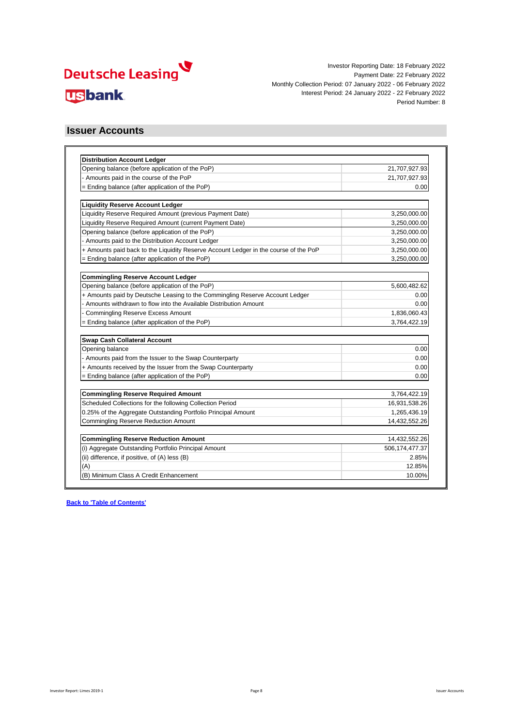

### **Issuer Accounts**

| <b>Distribution Account Ledger</b>                                                   |                |
|--------------------------------------------------------------------------------------|----------------|
| Opening balance (before application of the PoP)                                      | 21,707,927.93  |
| - Amounts paid in the course of the PoP                                              | 21,707,927.93  |
| = Ending balance (after application of the PoP)                                      | 0.00           |
|                                                                                      |                |
| <b>Liquidity Reserve Account Ledger</b>                                              |                |
| Liquidity Reserve Required Amount (previous Payment Date)                            | 3,250,000.00   |
| Liquidity Reserve Required Amount (current Payment Date)                             | 3,250,000.00   |
| Opening balance (before application of the PoP)                                      | 3,250,000.00   |
| Amounts paid to the Distribution Account Ledger                                      | 3,250,000.00   |
| + Amounts paid back to the Liquidity Reserve Account Ledger in the course of the PoP | 3,250,000.00   |
| = Ending balance (after application of the PoP)                                      | 3,250,000.00   |
|                                                                                      |                |
| <b>Commingling Reserve Account Ledger</b>                                            |                |
| Opening balance (before application of the PoP)                                      | 5,600,482.62   |
| + Amounts paid by Deutsche Leasing to the Commingling Reserve Account Ledger         | 0.00           |
| - Amounts withdrawn to flow into the Available Distribution Amount                   | 0.00           |
| <b>Commingling Reserve Excess Amount</b>                                             | 1,836,060.43   |
| = Ending balance (after application of the PoP)                                      | 3,764,422.19   |
|                                                                                      |                |
| Swap Cash Collateral Account                                                         |                |
| Opening balance                                                                      | 0.00           |
| - Amounts paid from the Issuer to the Swap Counterparty                              | 0.00           |
| + Amounts received by the Issuer from the Swap Counterparty                          | 0.00           |
| = Ending balance (after application of the PoP)                                      | 0.00           |
| <b>Commingling Reserve Required Amount</b>                                           | 3,764,422.19   |
| Scheduled Collections for the following Collection Period                            | 16,931,538.26  |
| 0.25% of the Aggregate Outstanding Portfolio Principal Amount                        | 1,265,436.19   |
| <b>Commingling Reserve Reduction Amount</b>                                          | 14,432,552.26  |
|                                                                                      |                |
| <b>Commingling Reserve Reduction Amount</b>                                          | 14,432,552.26  |
| (i) Aggregate Outstanding Portfolio Principal Amount                                 | 506,174,477.37 |
| (ii) difference, if positive, of (A) less (B)                                        | 2.85%          |
| (A)                                                                                  | 12.85%         |
| (B) Minimum Class A Credit Enhancement                                               | 10.00%         |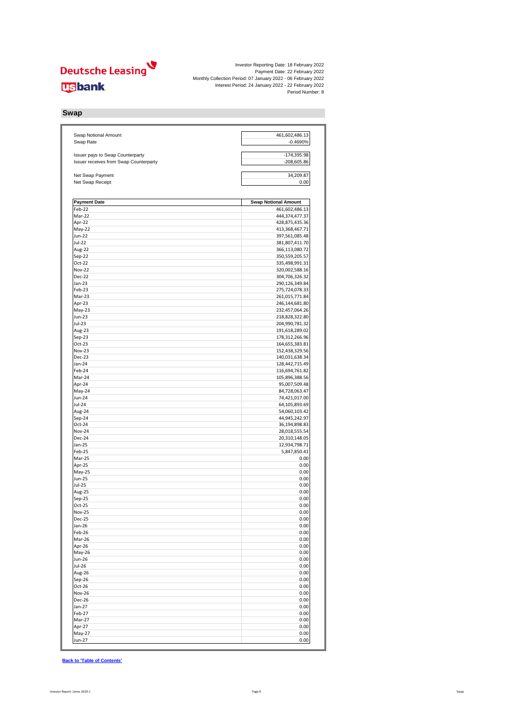Investor Reporting Date: 18 February 2022 Payment Date: 22 February 2022 Monthly Collection Period: 07 January 2022 - 06 February 2022 Interest Period: 24 January 2022 - 22 February 2022 Period Number: 8

#### **Swap**

| Swap Notional Amount                                                       | 461,602,486.13                   |
|----------------------------------------------------------------------------|----------------------------------|
| Swap Rate                                                                  | $-0.4690%$                       |
|                                                                            |                                  |
| Issuer pays to Swap Counterparty<br>Issuer receives from Swap Counterparty | $-174,395.98$<br>$-208,605.86$   |
|                                                                            |                                  |
| Net Swap Payment                                                           | 34,209.87                        |
| Net Swap Receipt                                                           | 0.00                             |
| <b>Payment Date</b>                                                        | <b>Swap Notional Amount</b>      |
| Feb-22                                                                     | 461,602,486.13                   |
| Mar-22                                                                     | 444,374,477.37                   |
| Apr-22                                                                     | 428,875,435.36                   |
| May-22                                                                     | 413,368,467.71                   |
| <b>Jun-22</b>                                                              | 397,561,085.48                   |
| Jul-22                                                                     | 381,807,411.70                   |
| Aug-22                                                                     | 366,113,080.72                   |
| Sep-22                                                                     | 350,559,205.57                   |
| Oct-22                                                                     | 335,498,991.31                   |
| <b>Nov-22</b>                                                              | 320,002,588.16                   |
| Dec-22                                                                     | 304,706,326.32                   |
| $Jan-23$                                                                   | 290,126,349.84                   |
| Feb-23                                                                     | 275,724,078.33                   |
| Mar-23<br>Apr-23                                                           | 261,015,771.84<br>246,144,681.80 |
| May-23                                                                     | 232,457,064.26                   |
| <b>Jun-23</b>                                                              | 218,828,322.80                   |
| Jul-23                                                                     | 204,990,781.32                   |
| Aug-23                                                                     | 191,618,289.02                   |
| Sep-23                                                                     | 178,312,266.96                   |
| Oct-23                                                                     | 164,655,383.81                   |
| <b>Nov-23</b>                                                              | 152,438,329.56                   |
| Dec-23                                                                     | 140,031,638.34                   |
| Jan-24                                                                     | 128,442,715.49                   |
| Feb-24                                                                     | 116,694,761.82                   |
| Mar-24                                                                     | 105,896,388.56                   |
| Apr-24                                                                     | 95,007,509.48                    |
| May-24                                                                     | 84,728,063.47                    |
| Jun-24                                                                     | 74,421,017.00                    |
| Jul-24                                                                     | 64,105,893.69                    |
| Aug-24                                                                     | 54,060,103.42                    |
| Sep-24                                                                     | 44,945,242.97                    |
| Oct-24                                                                     | 36,194,898.83                    |
| Nov-24                                                                     | 28,018,555.54                    |
| Dec-24<br>Jan-25                                                           | 20,310,148.05<br>12,934,798.71   |
| Feb-25                                                                     | 5,847,850.41                     |
| Mar-25                                                                     | 0.00                             |
| Apr-25                                                                     | 0.00                             |
| May-25                                                                     | 0.00                             |
| Jun-25                                                                     | 0.00                             |
| Jul-25                                                                     | 0.00                             |
| Aug-25                                                                     | 0.00                             |
| Sep-25                                                                     | 0.00                             |
| Oct-25                                                                     | 0.00                             |
| <b>Nov-25</b>                                                              | 0.00                             |
| Dec-25                                                                     | 0.00                             |
| Jan-26                                                                     | 0.00                             |
| Feb-26                                                                     | 0.00                             |
| Mar-26                                                                     | 0.00                             |
| Apr-26                                                                     | 0.00                             |
| May-26                                                                     | 0.00                             |
| <b>Jun-26</b>                                                              | 0.00                             |
| Jul-26                                                                     | 0.00                             |
| Aug-26                                                                     | 0.00<br>0.00                     |
| Sep-26<br>Oct-26                                                           | 0.00                             |
| <b>Nov-26</b>                                                              | 0.00                             |
| Dec-26                                                                     | 0.00                             |
| Jan-27                                                                     | 0.00                             |
| Feb-27                                                                     | 0.00                             |
| Mar-27                                                                     | 0.00                             |
| Apr-27                                                                     | 0.00                             |
| May-27                                                                     | 0.00                             |
| Jun-27                                                                     | 0.00                             |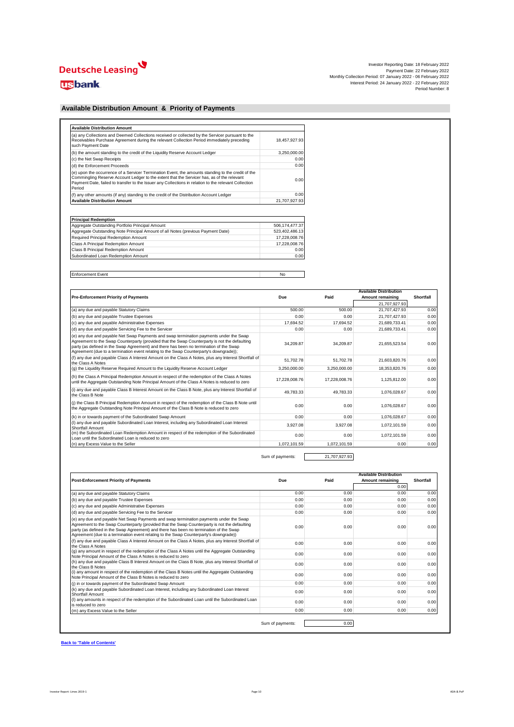# Deutsche Leasing

# **usbank**

| Investor Reporting Date: 18 February 2022                     |  |
|---------------------------------------------------------------|--|
| Payment Date: 22 February 2022                                |  |
| Monthly Collection Period: 07 January 2022 - 06 February 2022 |  |
| Interest Period: 24 January 2022 - 22 February 2022           |  |
| Period Number: 8                                              |  |

#### **Available Distribution Amount & Priority of Payments**

| (a) any Collections and Deemed Collections received or collected by the Servicer pursuant to the<br>Receivables Purchase Agreement during the relevant Collection Period immediately preceding<br>such Payment Date                                                                                                 | 18,457,927.93 |
|---------------------------------------------------------------------------------------------------------------------------------------------------------------------------------------------------------------------------------------------------------------------------------------------------------------------|---------------|
| (b) the amount standing to the credit of the Liquidity Reserve Account Ledger                                                                                                                                                                                                                                       | 3.250.000.00  |
| (c) the Net Swap Receipts                                                                                                                                                                                                                                                                                           | 0.00          |
| (d) the Enforcement Proceeds                                                                                                                                                                                                                                                                                        | 0.00          |
| (e) upon the occurrence of a Servicer Termination Event, the amounts standing to the credit of the<br>Commingling Reserve Account Ledger to the extent that the Servicer has, as of the relevant<br>Payment Date, failed to transfer to the Issuer any Collections in relation to the relevant Collection<br>Period | 0.00          |
| (f) any other amounts (if any) standing to the credit of the Distribution Account Ledger                                                                                                                                                                                                                            | 0.00          |
| <b>Available Distribution Amount</b>                                                                                                                                                                                                                                                                                | 21,707,927.93 |

| <b>Principal Redemption</b>                                                      |                |
|----------------------------------------------------------------------------------|----------------|
| Aggregate Outstanding Portfolio Principal Amount                                 | 506.174.477.37 |
| Aggregate Outstanding Note Principal Amount of all Notes (previous Payment Date) | 523.402.486.13 |
| Required Principal Redemption Amount                                             | 17.228.008.76  |
| Class A Principal Redemption Amount                                              | 17.228.008.76  |
| Class B Principal Redemption Amount                                              | 0.00           |
| Subordinated Loan Redemption Amount                                              | 0.00           |

Enforcement Event No

|                                                                                                                                                                                                                                                                                                                                                                             |               |               | <b>Available Distribution</b> |           |
|-----------------------------------------------------------------------------------------------------------------------------------------------------------------------------------------------------------------------------------------------------------------------------------------------------------------------------------------------------------------------------|---------------|---------------|-------------------------------|-----------|
| <b>Pre-Enforcement Priority of Payments</b>                                                                                                                                                                                                                                                                                                                                 | Due           | Paid          | Amount remaining              | Shortfall |
|                                                                                                                                                                                                                                                                                                                                                                             |               |               | 21.707.927.93                 |           |
| (a) any due and payable Statutory Claims                                                                                                                                                                                                                                                                                                                                    | 500.00        | 500.00        | 21.707.427.93                 | 0.00      |
| (b) any due and payable Trustee Expenses                                                                                                                                                                                                                                                                                                                                    | 0.00          | 0.00          | 21.707.427.93                 | 0.00      |
| (c) any due and payable Administrative Expenses                                                                                                                                                                                                                                                                                                                             | 17.694.52     | 17.694.52     | 21.689.733.41                 | 0.00      |
| (d) any due and payable Servicing Fee to the Servicer                                                                                                                                                                                                                                                                                                                       | 0.00          | 0.00          | 21.689.733.41                 | 0.00      |
| (e) any due and payable Net Swap Payments and swap termination payments under the Swap<br>Agreement to the Swap Counterparty (provided that the Swap Counterparty is not the defaulting<br>party (as defined in the Swap Agreement) and there has been no termination of the Swap<br>Agreement (due to a termination event relating to the Swap Counterparty's downgrade)); | 34.209.87     | 34.209.87     | 21.655.523.54                 | 0.00      |
| (f) any due and payable Class A Interest Amount on the Class A Notes, plus any Interest Shortfall of<br>the Class A Notes                                                                                                                                                                                                                                                   | 51.702.78     | 51.702.78     | 21,603,820.76                 | 0.00      |
| (q) the Liquidity Reserve Required Amount to the Liquidity Reserve Account Ledger                                                                                                                                                                                                                                                                                           | 3.250.000.00  | 3.250.000.00  | 18.353.820.76                 | 0.00      |
| (h) the Class A Principal Redemption Amount in respect of the redemption of the Class A Notes<br>until the Aggregate Outstanding Note Principal Amount of the Class A Notes is reduced to zero                                                                                                                                                                              | 17,228,008.76 | 17,228,008.76 | 1,125,812.00                  | 0.00      |
| (i) any due and payable Class B Interest Amount on the Class B Note, plus any Interest Shortfall of<br>the Class B Note                                                                                                                                                                                                                                                     | 49.783.33     | 49.783.33     | 1.076.028.67                  | 0.00      |
| (i) the Class B Principal Redemption Amount in respect of the redemption of the Class B Note until<br>the Aggregate Outstanding Note Principal Amount of the Class B Note is reduced to zero                                                                                                                                                                                | 0.00          | 0.00          | 1,076,028.67                  | 0.00      |
| (k) in or towards payment of the Subordinated Swap Amount                                                                                                                                                                                                                                                                                                                   | 0.00          | 0.00          | 1.076.028.67                  | 0.00      |
| (I) any due and payable Subordinated Loan Interest, including any Subordinated Loan Interest<br>Shortfall Amount                                                                                                                                                                                                                                                            | 3.927.08      | 3.927.08      | 1.072.101.59                  | 0.00      |
| (m) the Subordinated Loan Redemption Amount in respect of the redemption of the Subordinated<br>Loan until the Subordinated Loan is reduced to zero                                                                                                                                                                                                                         | 0.00          | 0.00          | 1.072.101.59                  | 0.00      |
| (n) any Excess Value to the Seller                                                                                                                                                                                                                                                                                                                                          | 1.072.101.59  | 1.072.101.59  | 0.00                          | 0.00      |

Sum of payments: 21,707,927.93

| Paid | <b>Available Distribution</b><br>Amount remaining | Shortfall |
|------|---------------------------------------------------|-----------|
|      | 0.00                                              |           |
| 0.00 | 0.00                                              | 0.00      |
| 0.00 | 0.00                                              | 0.00      |
| 0.00 | 0.00                                              | 0.00      |
| 0.00 | 0.00                                              | 0.00      |
| 0.00 | 0.00                                              | 0.00      |
| 0.00 | 0.00                                              | 0.00      |
| 0.00 | 0.00                                              | 0.00      |
| 0.00 | 0.00                                              | 0.00      |
| 0.00 | 0.00                                              | 0.00      |
| 0.00 | 0.00                                              | 0.00      |
| 0.00 | 0.00                                              | 0.00      |
| 0.00 | 0.00                                              | 0.00      |
| 0.00 | 0.00                                              | 0.00      |
|      |                                                   | 0.00      |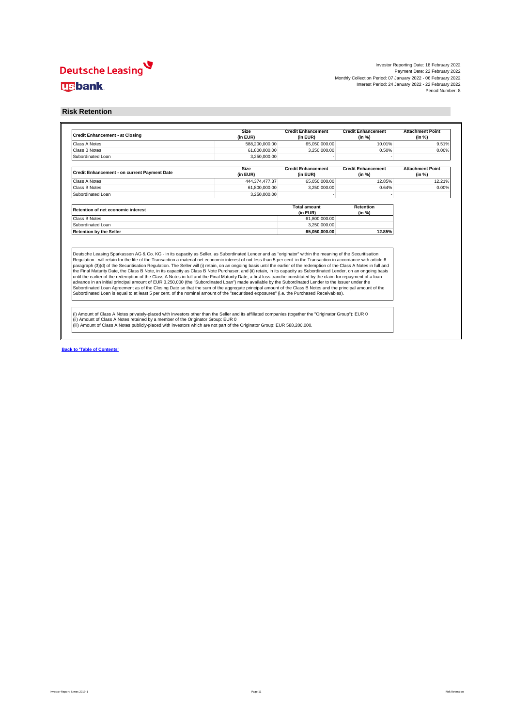Investor Reporting Date: 18 February 2022 Payment Date: 22 February 2022 Monthly Collection Period: 07 January 2022 - 06 February 2022 Interest Period: 24 January 2022 - 22 February 2022 Period Number: 8

#### **Risk Retention**

| <b>Credit Enhancement - at Closing</b>                                                                                                                                                                                                                                                                                                                                                                                                                                                                                                                                                                                                                                              | <b>Size</b><br>(in EUR) | <b>Credit Enhancement</b><br>(in EUR) | <b>Credit Enhancement</b><br>(in %) | <b>Attachment Point</b><br>(in %) |
|-------------------------------------------------------------------------------------------------------------------------------------------------------------------------------------------------------------------------------------------------------------------------------------------------------------------------------------------------------------------------------------------------------------------------------------------------------------------------------------------------------------------------------------------------------------------------------------------------------------------------------------------------------------------------------------|-------------------------|---------------------------------------|-------------------------------------|-----------------------------------|
| Class A Notes                                                                                                                                                                                                                                                                                                                                                                                                                                                                                                                                                                                                                                                                       | 588,200,000.00          | 65,050,000.00                         | 10.01%                              | 9.51%                             |
| Class B Notes                                                                                                                                                                                                                                                                                                                                                                                                                                                                                                                                                                                                                                                                       | 61,800,000.00           | 3.250.000.00                          | 0.50%                               | 0.00%                             |
| Subordinated Loan                                                                                                                                                                                                                                                                                                                                                                                                                                                                                                                                                                                                                                                                   | 3.250.000.00            |                                       |                                     |                                   |
| Credit Enhancement - on current Payment Date                                                                                                                                                                                                                                                                                                                                                                                                                                                                                                                                                                                                                                        | Size<br>(in EUR)        | <b>Credit Enhancement</b><br>(in EUR) | <b>Credit Enhancement</b><br>(in %) | <b>Attachment Point</b><br>(in %) |
| Class A Notes                                                                                                                                                                                                                                                                                                                                                                                                                                                                                                                                                                                                                                                                       | 444.374.477.37          | 65,050,000.00                         | 12.85%                              | 12.21%                            |
| Class B Notes                                                                                                                                                                                                                                                                                                                                                                                                                                                                                                                                                                                                                                                                       | 61,800,000.00           | 3,250,000.00                          | 0.64%                               | 0.00%                             |
| Subordinated Loan                                                                                                                                                                                                                                                                                                                                                                                                                                                                                                                                                                                                                                                                   | 3.250.000.00            |                                       |                                     |                                   |
| Retention of net economic interest                                                                                                                                                                                                                                                                                                                                                                                                                                                                                                                                                                                                                                                  |                         | <b>Total amount</b><br>(in EUR)       | Retention<br>(in %)                 |                                   |
| Class B Notes                                                                                                                                                                                                                                                                                                                                                                                                                                                                                                                                                                                                                                                                       |                         | 61,800,000.00                         |                                     |                                   |
| Subordinated Loan                                                                                                                                                                                                                                                                                                                                                                                                                                                                                                                                                                                                                                                                   |                         | 3.250.000.00                          |                                     |                                   |
| <b>Retention by the Seller</b>                                                                                                                                                                                                                                                                                                                                                                                                                                                                                                                                                                                                                                                      |                         | 65.050.000.00                         | 12.85%                              |                                   |
| Deutsche Leasing Sparkassen AG & Co. KG - in its capacity as Seller, as Subordinated Lender and as "originator" within the meaning of the Securitisation<br>Regulation - will retain for the life of the Transaction a material net economic interest of not less than 5 per cent. in the Transaction in accordance with article 6<br>paragraph (3)(d) of the Securitisation Regulation. The Seller will (i) retain, on an ongoing basis until the earlier of the redemption of the Class A Notes in full and<br>the Final Maturity Date, the Class B Note, in its capacity as Class B Note Purchaser, and (ii) retain, in its capacity as Subordinated Lender, on an ongoing basis |                         |                                       |                                     |                                   |
| until the earlier of the redemption of the Class A Notes in full and the Final Maturity Date, a first loss tranche constituted by the claim for repayment of a loan<br>advance in an initial principal amount of EUR 3,250,000 (the "Subordinated Loan") made available by the Subordinated Lender to the Issuer under the<br>Subordinated Loan Agreement as of the Closing Date so that the sum of the aggregate principal amount of the Class B Notes and the principal amount of the<br>Subordinated Loan is equal to at least 5 per cent. of the nominal amount of the "securitised exposures" (i.e. the Purchased Receivables).                                                |                         |                                       |                                     |                                   |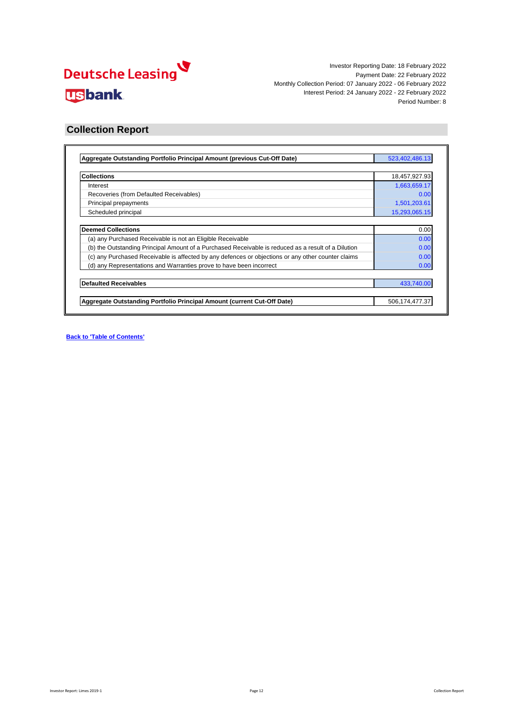

### **Collection Report**

| Aggregate Outstanding Portfolio Principal Amount (previous Cut-Off Date)                            | 523,402,486.13 |
|-----------------------------------------------------------------------------------------------------|----------------|
|                                                                                                     |                |
| <b>Collections</b>                                                                                  | 18,457,927.93  |
| Interest                                                                                            | 1,663,659.17   |
| Recoveries (from Defaulted Receivables)                                                             | 0.00           |
| Principal prepayments                                                                               | 1,501,203.61   |
| Scheduled principal                                                                                 | 15,293,065.15  |
| <b>Deemed Collections</b>                                                                           | 0.00           |
| (a) any Purchased Receivable is not an Eligible Receivable                                          | 0.00           |
| (b) the Outstanding Principal Amount of a Purchased Receivable is reduced as a result of a Dilution | 0.00           |
| (c) any Purchased Receivable is affected by any defences or objections or any other counter claims  | 0.00           |
| (d) any Representations and Warranties prove to have been incorrect                                 | 0.00           |
| <b>Defaulted Receivables</b>                                                                        | 433,740.00     |
|                                                                                                     |                |
| Aggregate Outstanding Portfolio Principal Amount (current Cut-Off Date)                             | 506,174,477.37 |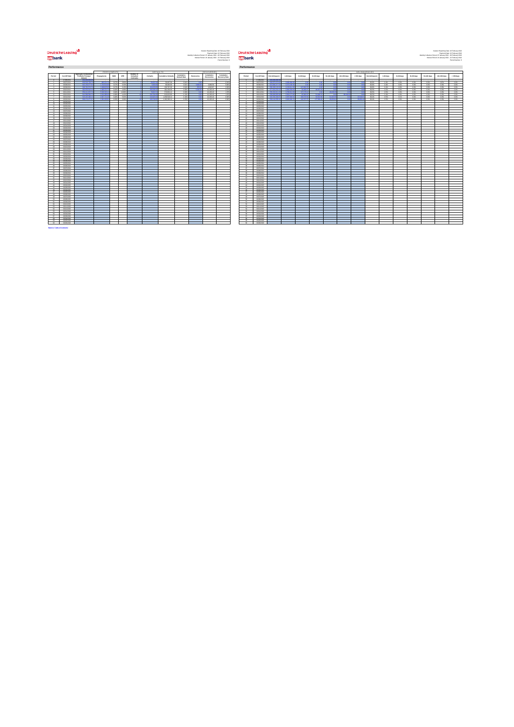# **Deutsche Leasing<br>للإيال**<br>Ugbank

### $\begin{array}{c|c|c|c|c|c} \textbf{Ans:} & \textbf{Deutschen} & \textbf{Deutschen} & \textbf{Neumann} & \textbf{Neumann} & \textbf{Neumann} & \textbf{Neumann} & \textbf{Neumann} & \textbf{Neumann} & \textbf{Neumann} & \textbf{Neumann} & \textbf{Neumann} & \textbf{Neumann} & \textbf{Neumann} & \textbf{Neumann} & \textbf{Neumann} & \textbf{Neumann} & \textbf{Neumann} & \textbf{Neumann} & \textbf{Neumann} & \textbf{Neumann} & \textbf{Neumann} & \textbf{Neumann} & \textbf{Neumann} & \textbf{Neumann} & \textbf$

| Performance                 |                               |                                              |                        |                |                 |                        |                   |                           |                                   |                   |                          | Performance                  |                 |                              |                                |                       |                            |                 |              |              |               |              |
|-----------------------------|-------------------------------|----------------------------------------------|------------------------|----------------|-----------------|------------------------|-------------------|---------------------------|-----------------------------------|-------------------|--------------------------|------------------------------|-----------------|------------------------------|--------------------------------|-----------------------|----------------------------|-----------------|--------------|--------------|---------------|--------------|
|                             |                               |                                              |                        | PREPAYMENTS    |                 |                        |                   | <b>DEFAULTS</b>           |                                   |                   | RECOVERIES               |                              |                 |                              |                                |                       |                            |                 |              |              | DELINQUENCIE: |              |
| Period                      | Cut-Off Date                  | Appregate Outstanding<br>Portfolio Principal | <b>Pregaurances</b>    | SMM            | CPR.            | Number of<br>Defaulted | <b>Detaults</b>   | <b>Cumulative Default</b> | Cumulative<br><b>Default Rate</b> | <b>Recoveries</b> | Cumulative<br>Recoveries | Cursulative<br>Recovery Rate | Period          | Cus-Off Date                 | Not delinquent                 | 1-30 days             | 21-60 days                 | \$1-90 days     | 91-120 days  | 121-150 days | $> 150$ days  | Not delig    |
|                             | <b>GTRASHIN</b>               | 449-998-99                                   |                        |                |                 |                        |                   |                           |                                   |                   |                          |                              |                 | conscious.                   |                                |                       |                            |                 |              |              |               |              |
| - 4                         | 06/07/2021                    | 499,699,268                                  | <b>ANA WALL</b>        | $-0.05$        | 0.82            |                        |                   | 56,697.09                 | A.M                               |                   |                          | 0.009                        |                 | 06/07/2021                   | <b>ANA ANY AN</b>              | 3 6/8 764             |                            |                 |              |              |               | 99.6         |
| $\rightarrow$               | 06/08/2021                    | 616.158.377.5                                | 1,722,5241             | 0.27%          | 3,23%           |                        | \$269.2           | 66,080.29                 | open                              | 2.6691            | 3,869.58                 | 5,805                        | $\rightarrow$   | 06/08/2021                   | 6138062172                     | 22721601              | 14.4                       | - 6             |              |              |               | 99.6         |
| $\rightarrow$               | 06/09/2021                    | <b>SM 740 SPE</b>                            | 1,009,8253             | 0.275          | 3,15%           |                        | 64,626.1          | 230,707.28                | 0.00%                             |                   | 4.822.87                 | 2,09%                        |                 | 06/09/2021                   | 506,469.13                     | 2153.611              | 103 800 7                  |                 |              |              |               | 99.6         |
| $\overline{a}$<br>$\sim$    | 06/10/2021<br>06/11/2021      | \$80,553,542<br>559,415,637                  | 2,399,572<br>5.546.523 | 0.605<br>0.96% | 4,693<br>10,893 |                        | 55,000<br>79,9243 | 491,006.38<br>670,831.12  | open<br>O.DOM                     | 6,942<br><b>A</b> | 10.165.43<br>10.165.43   | 2,07%<br>1,79%               | -4<br>$\sim$    | 09/10/2021<br>09/11/2021     | 627 643 95<br><b>SSRASAR11</b> | 2.964.903<br>2790.611 | <b>SOLAMA</b><br>127,179.1 | 0.007<br>$-01$  | 29.236.3     | 00           |               | 99.0<br>99.9 |
|                             | 06/12/2021                    | <b>Carl Citiz Cold</b>                       | 0.554,000              | 0.381          | 4.423           |                        | <b>All Sales</b>  | 913.622.96                | 0.129                             |                   | 10.165.43                | 1,20%                        |                 | 09/12/2021                   | <b>CALLAND</b>                 | $0.006$ KY2           | <b>AR MAIN</b>             | <b>CARACTER</b> |              |              |               | 99.9         |
| $\mathcal{L}$               | 06/01/2022                    | \$23,432,436                                 | 94073919               | 0.603          | 5.621           |                        | <b>MARGOS</b>     | 1.059.546.14              | ose                               |                   | 10.165.43                | 4,905                        | $\sim$          | 06/01/2022                   | <b>CAN ANN AR</b>              | 1607000               | <b>THE CHAIR</b>           | <b>CARAC</b>    | <b>CARDS</b> |              |               | 99.4         |
| $\overline{\phantom{a}}$    | 06/02/2022                    | 506.174.07.3                                 | 1,501,2031             | 0.291          | <b>State</b>    |                        | na zu             | 1.492.205.14              | 0.22%                             |                   | 10.165.43                | com                          |                 | 06/02/2022                   | 523144,039                     | <b>LAS GOG</b>        | <b>GERMAN</b>              | <b>STEAM</b>    |              |              |               | 28.5         |
| $\rightarrow$               | 06/09/2022                    |                                              |                        |                |                 |                        |                   |                           |                                   |                   |                          |                              | $\theta$        | 09/03/2022                   |                                |                       |                            |                 |              |              |               |              |
| 10                          | 06/06/2022                    |                                              |                        |                |                 |                        |                   |                           |                                   |                   |                          |                              | $50 -$          | 06/04/2022                   |                                |                       |                            |                 |              |              |               |              |
| $\overline{11}$             | 06/05/2022                    |                                              |                        |                |                 |                        |                   |                           |                                   |                   |                          |                              | $\mathbf{H}$    | 06/05/2022                   |                                |                       |                            |                 |              |              |               |              |
| $\overline{12}$             | 06/06/2022                    |                                              |                        |                |                 |                        |                   |                           |                                   |                   |                          |                              | 12              | 06/06/2022                   |                                |                       |                            |                 |              |              |               |              |
| $12 -$                      | ourchass:                     |                                              |                        |                |                 |                        |                   |                           |                                   |                   |                          |                              | 12              | 06/07/2022                   |                                |                       |                            |                 |              |              |               |              |
| 14                          | 06/08/2022                    |                                              |                        |                |                 |                        |                   |                           |                                   |                   |                          |                              | 54              | 06/08/2022                   |                                |                       |                            |                 |              |              |               |              |
| 16                          | 06/09/2022                    |                                              |                        |                |                 |                        |                   |                           |                                   |                   |                          |                              | $-65$           | 06/09/2022                   |                                |                       |                            |                 |              |              |               |              |
| 16                          | 06/10/2022                    |                                              |                        |                |                 |                        |                   |                           |                                   |                   |                          |                              | 29              | 09/10/2022                   |                                |                       |                            |                 |              |              |               |              |
| $\overline{v}$              | 06/11/2022                    |                                              |                        |                |                 |                        |                   |                           |                                   |                   |                          |                              | $\sim$          | 09/11/2022                   |                                |                       |                            |                 |              |              |               |              |
| $^{16}$                     | 06/12/2022<br>newsman.        |                                              |                        |                |                 |                        |                   |                           |                                   |                   |                          |                              | $^{46}$         | 09/12/2022                   |                                |                       |                            |                 |              |              |               |              |
| 19<br>$-96$                 |                               |                                              |                        |                |                 |                        |                   |                           |                                   |                   |                          |                              | 19<br>$^{46}$   | 06/01/2023                   |                                |                       |                            |                 |              |              |               |              |
| 21                          | 06/02/2023<br>06/03/2023      |                                              |                        |                |                 |                        |                   |                           |                                   |                   |                          |                              | 21              | 06/02/2023<br>06/03/2023     |                                |                       |                            |                 |              |              |               |              |
| $^{26}$                     | 06/062023                     |                                              |                        |                |                 |                        |                   |                           |                                   |                   |                          |                              | 49              | 06/04/2023                   |                                |                       |                            |                 |              |              |               |              |
| $\rightarrow$               | 06/05/2023                    |                                              |                        |                |                 |                        |                   |                           |                                   |                   |                          |                              | A6              | 06/05/2023                   |                                |                       |                            |                 |              |              |               |              |
| $\overline{\mathbf{z}}$     | 06/06/2023                    |                                              |                        |                |                 |                        |                   |                           |                                   |                   |                          |                              | 24              | 06/06/2023                   |                                |                       |                            |                 |              |              |               |              |
| $^{16}$                     | ourcrosss                     |                                              |                        |                |                 |                        |                   |                           |                                   |                   |                          |                              | 46              | 06/07/2023                   |                                |                       |                            |                 |              |              |               |              |
| 26                          | 06/08/2023                    |                                              |                        |                |                 |                        |                   |                           |                                   |                   |                          |                              |                 | 06/06/2023                   |                                |                       |                            |                 |              |              |               |              |
| 27                          | 06/09/2023                    |                                              |                        |                |                 |                        |                   |                           |                                   |                   |                          |                              | 27              | 06/09/2023                   |                                |                       |                            |                 |              |              |               |              |
| $\sim$                      | 06/10/2023                    |                                              |                        |                |                 |                        |                   |                           |                                   |                   |                          |                              |                 | 09/10/2023                   |                                |                       |                            |                 |              |              |               |              |
|                             | 06/11/2023                    |                                              |                        |                |                 |                        |                   |                           |                                   |                   |                          |                              |                 | 09/11/2023                   |                                |                       |                            |                 |              |              |               |              |
| 20                          | 06/12/2023                    |                                              |                        |                |                 |                        |                   |                           |                                   |                   |                          |                              | 20              | 09/12/2023                   |                                |                       |                            |                 |              |              |               |              |
| $\overline{\mathbf{r}}$     | 06/01/2024                    |                                              |                        |                |                 |                        |                   |                           |                                   |                   |                          |                              | $\overline{11}$ | 06/01/2024                   |                                |                       |                            |                 |              |              |               |              |
| 40                          | nemoranou                     |                                              |                        |                |                 |                        |                   |                           |                                   |                   |                          |                              | $^{49}$         | contribute                   |                                |                       |                            |                 |              |              |               |              |
| $^{26}$<br>$\overline{u}$   | 06/03/2024                    |                                              |                        |                |                 |                        |                   |                           |                                   |                   |                          |                              | $^{46}$         | 06/03/2024                   |                                |                       |                            |                 |              |              |               |              |
|                             | 06/06/2024                    |                                              |                        |                |                 |                        |                   |                           |                                   |                   |                          |                              | $^{16}$         | 06/04/2024                   |                                |                       |                            |                 |              |              |               |              |
| 26<br>$^{46}$               | 06/05/2024<br><b>GEOGRAPH</b> |                                              |                        |                |                 |                        |                   |                           |                                   |                   |                          |                              | 36<br><b>M</b>  | 06/05/2024<br><b>GOV/WAS</b> |                                |                       |                            |                 |              |              |               |              |
| 27                          | newproces                     |                                              |                        |                |                 |                        |                   |                           |                                   |                   |                          |                              | <b>AS</b>       | commons                      |                                |                       |                            |                 |              |              |               |              |
| $\overline{\mathbf{z}}$     | 06/08/2024                    |                                              |                        |                |                 |                        |                   |                           |                                   |                   |                          |                              | 28              | 06/08/2024                   |                                |                       |                            |                 |              |              |               |              |
| $\sim$                      | 06/09/2024                    |                                              |                        |                |                 |                        |                   |                           |                                   |                   |                          |                              | $^{16}$         | 06/09/2024                   |                                |                       |                            |                 |              |              |               |              |
| -40                         | 06/10/2024                    |                                              |                        |                |                 |                        |                   |                           |                                   |                   |                          |                              | A <sup>2</sup>  | 09/10/2024                   |                                |                       |                            |                 |              |              |               |              |
| 41                          | 06/11/2024                    |                                              |                        |                |                 |                        |                   |                           |                                   |                   |                          |                              | 41              | 09/11/2024                   |                                |                       |                            |                 |              |              |               |              |
| $\overline{a}$              | 06/12/2024                    |                                              |                        |                |                 |                        |                   |                           |                                   |                   |                          |                              | $\rightarrow$   | 09/12/2024                   |                                |                       |                            |                 |              |              |               |              |
| <b>ALC</b>                  | <b>GAME/WOOD</b>              |                                              |                        |                |                 |                        |                   |                           |                                   |                   |                          |                              | <b>AN</b>       | 06010001                     |                                |                       |                            |                 |              |              |               |              |
| 44                          | ourgeges                      |                                              |                        |                |                 |                        |                   |                           |                                   |                   |                          |                              | 44              | 06/02/2025                   |                                |                       |                            |                 |              |              |               |              |
| $-46$                       | 06/03/2025                    |                                              |                        |                |                 |                        |                   |                           |                                   |                   |                          |                              | 45              | 06/03/2025                   |                                |                       |                            |                 |              |              |               |              |
| $^{46}$                     | 06/06/2025                    |                                              |                        |                |                 |                        |                   |                           |                                   |                   |                          |                              | 46              | 06/04/2025                   |                                |                       |                            |                 |              |              |               |              |
| $\overline{a}$              | <b>NAVADO</b>                 |                                              |                        |                |                 |                        |                   |                           |                                   |                   |                          |                              | $\overline{a}$  | noncome                      |                                |                       |                            |                 |              |              |               |              |
| <b>ALC</b>                  | 06/06/2026                    |                                              |                        |                |                 |                        |                   |                           |                                   |                   |                          |                              | <b>Ab</b>       | 06/06/2021                   |                                |                       |                            |                 |              |              |               |              |
| 49                          | ourcropps                     |                                              |                        |                |                 |                        |                   |                           |                                   |                   |                          |                              | 49.             | 06/07/2025                   |                                |                       |                            |                 |              |              |               |              |
| 50                          | 06/08/2025                    |                                              |                        |                |                 |                        |                   |                           |                                   |                   |                          |                              | S/L             | 06/08/2025                   |                                |                       |                            |                 |              |              |               |              |
| 61<br>62                    | 06/09/2025<br>06/10/2025      |                                              |                        |                |                 |                        |                   |                           |                                   |                   |                          |                              | 51<br>52        | okospozs<br>09/10/2025       |                                |                       |                            |                 |              |              |               |              |
| $^{65}$                     | 06/11/2025                    |                                              |                        |                |                 |                        |                   |                           |                                   |                   |                          |                              | <b>CO</b>       | 09/11/2020                   |                                |                       |                            |                 |              |              |               |              |
| 54                          | 06/12/2025                    |                                              |                        |                |                 |                        |                   |                           |                                   |                   |                          |                              | <b>SA</b>       | 09/12/2020                   |                                |                       |                            |                 |              |              |               |              |
| $\overline{\mathbf{g}}$     | 06/01/2026                    |                                              |                        |                |                 |                        |                   |                           |                                   |                   |                          |                              | 66              | 06/01/2026                   |                                |                       |                            |                 |              |              |               |              |
| 56                          | 06/02/2026                    |                                              |                        |                |                 |                        |                   |                           |                                   |                   |                          |                              | 59              | 06/02/2026                   |                                |                       |                            |                 |              |              |               |              |
| 57                          | 06/03/2026                    |                                              |                        |                |                 |                        |                   |                           |                                   |                   |                          |                              | 57              | 06/03/2026                   |                                |                       |                            |                 |              |              |               |              |
| $\overline{\phantom{a}}$    | 06/06/2026                    |                                              |                        |                |                 |                        |                   |                           |                                   |                   |                          |                              | <b>CO</b>       | 06/04/2020                   |                                |                       |                            |                 |              |              |               |              |
| co.                         | 06/05/2026                    |                                              |                        |                |                 |                        |                   |                           |                                   |                   |                          |                              | 69              | 06/05/2020                   |                                |                       |                            |                 |              |              |               |              |
| 40                          | 06/06/2026                    |                                              |                        |                |                 |                        |                   |                           |                                   |                   |                          |                              | 40              | 06/06/2026                   |                                |                       |                            |                 |              |              |               |              |
|                             |                               |                                              |                        |                |                 |                        |                   |                           |                                   |                   |                          |                              |                 |                              |                                |                       |                            |                 |              |              |               |              |
| Back to 'Table of Contents' |                               |                                              |                        |                |                 |                        |                   |                           |                                   |                   |                          |                              |                 |                              |                                |                       |                            |                 |              |              |               |              |

| ormance |                              |                                              |                                    |                        |                |                  |                |                            |                                    |            |                          |                                    | Performance                       |                          |                                    |                                           |                                 |                 |              |              |                      |                 |                      |                    |                |                     |              |                |
|---------|------------------------------|----------------------------------------------|------------------------------------|------------------------|----------------|------------------|----------------|----------------------------|------------------------------------|------------|--------------------------|------------------------------------|-----------------------------------|--------------------------|------------------------------------|-------------------------------------------|---------------------------------|-----------------|--------------|--------------|----------------------|-----------------|----------------------|--------------------|----------------|---------------------|--------------|----------------|
|         |                              |                                              |                                    |                        |                |                  |                |                            |                                    |            |                          |                                    |                                   |                          |                                    |                                           |                                 |                 |              |              |                      |                 |                      |                    |                |                     |              |                |
|         |                              |                                              |                                    | <b>PREPAYMENTS</b>     |                | <b>Sundar of</b> |                | DEFAULTS                   |                                    |            | RECOVERIES               |                                    |                                   |                          |                                    |                                           |                                 |                 |              |              | <b>DELINQUENCIES</b> |                 |                      |                    |                |                     |              |                |
| iod     | Cut-Off Date                 | Aggregate Outstanding<br>Partfolio Principal | Ргадаулисса                        | SMM                    | CPR            | Defaulted        | Detaults       | <b>Cumulative Defaults</b> | Cursulative<br><b>Default Rate</b> | Recoveries | Cumulative<br>Recoveries | Cumulative<br><b>Recovery Rate</b> | Period                            | Cus-Off Date             | Not delinquent                     | 1-30 days                                 | 31-60 days                      | 61-90 days      | 91-120 days  | 121-150 days | $> 150$ days         | Not delinquent  | 1-30 days            | 31-60 days         | 61-98 days     | 91-120 days         | 121-150 days | > 150 days     |
|         | 07062021                     |                                              |                                    |                        |                |                  |                |                            |                                    |            |                          |                                    |                                   | 0706/2021                |                                    |                                           |                                 |                 |              |              |                      |                 |                      |                    |                |                     |              |                |
|         | newprono-                    | 439,639,268                                  |                                    |                        | O-ROS          |                  |                | 56,087.00                  | Adele                              |            |                          | 0.006                              |                                   | nunzuone                 | ennement                           | <b>A CALL</b>                             | <b>COMPANY</b>                  |                 |              |              |                      | \$9.6%          | O.MA                 | 0.0%               | A.M.           | AM.                 | 0.0%         | ANC            |
|         | 06/08/2021<br>06/06/2021     | 616.158.377.56<br><b>GB 2021 C78</b>         | 120003-004                         | 0.27%                  | 3.23%<br>3.656 |                  | <b>SERVICE</b> | 66,080.29<br>200 202 56    | didn's<br>cons                     | 10000      | 3,869.58<br>4.822.87     | 5,96%<br>2000                      | $\sim$                            | 09/08/2021<br>nungan -   | CASEGO OVER                        | 2.272.160.36                              |                                 | <b>COM</b>      | 0.0          |              |                      | 99.6%<br>\$9.0% | aes.<br>O.MG         | 0.0%<br><b>COS</b> | 4.0%<br>A.M    | 0.0%<br>AM6         | 0.0%<br>Am.  | $-0.05$<br>40% |
|         | 06/10/2021                   |                                              |                                    | 0.405                  | 4,69%          |                  |                | 491,006.38                 | opes                               |            | 10,165.43                | 2079                               |                                   | 09/10/2021               |                                    |                                           |                                 |                 |              |              |                      | 99.5%           | 0.5%                 | cos                | $-0.05$        | 0.0%                | 0.0%         | 60%            |
|         | 06/11/2021                   | 559,411,637.70                               | <b>C CALL CO'S SA</b>              | 0.96%                  | 10,89%         |                  | 79.924.74      | 670,821.12                 | O.DRS                              |            | 10,165.43                | 1.79%                              | $\sim$                            | 09/11/2021               | 559-454-611-                       | 1200411-01                                | 1003109-01                      | <b>COMPANY</b>  | 29.236.35    |              |                      | 99.9%           | 0.5%                 | cos                | 4.0%           | 0.0%                | apts         | - 0.0%         |
|         | 06/12/2021<br>numeroso       | <b>Carl Call Call</b><br><b>CO AVEAM P</b>   | <b>CARLO AND A</b><br>0.007 744 00 | 0.98<br><b>COMPANY</b> | 4,409<br>C 60% |                  |                | 913 837 96<br>1.069.649.14 | Avas.<br>A MALL                    |            | 10,500.43<br>10,500.03   | 1.250<br>com                       | <b>ALC</b><br>$\overline{ }$      | novement.<br>0601002     | 53974340<br><b>FIA ANS AR</b>      | <b>ANGELON</b><br><b>LEWIS CONTRACTOR</b> | <b>AR MAIL</b><br><b>MALICE</b> | <b>CARACTER</b> | <b>CARGO</b> |              |                      | \$9.95<br>99.4% | O.MS<br><b>CARDO</b> | AW<br>0.15         | A.M.<br>A Gold | AM6<br><b>CARDO</b> | 00%<br>6.0%  | 0.0%<br>$\sim$ |
|         | 06/02/2022                   | <b>NE YOU ATT!</b>                           |                                    | 0.00                   | A-MA           |                  |                | 1.492.205.14               | A Vite.                            |            | 10.165.43                | con                                |                                   | 06/02/2022               | <b><i><u>CAN A A A A A</u></i></b> |                                           |                                 |                 |              |              |                      | \$9.4%          | A SN.                | Addis              |                | Am.                 | O.ONG        | A.M.           |
|         | 06/03/2022                   |                                              |                                    |                        |                |                  |                |                            |                                    |            |                          |                                    | $\mathbf{R}$                      | 09/03/2022               |                                    |                                           |                                 |                 |              |              |                      |                 |                      |                    |                |                     |              |                |
| ×.      | 06/06/2022<br>06050922       |                                              |                                    |                        |                |                  |                |                            |                                    |            |                          |                                    | 50<br>$+1$                        | 06/04/2022<br>noncomo    |                                    |                                           |                                 |                 |              |              |                      |                 |                      |                    |                |                     |              |                |
| a.      | numeroso.                    |                                              |                                    |                        |                |                  |                |                            |                                    |            |                          |                                    | $\sim$                            | 0000000                  |                                    |                                           |                                 |                 |              |              |                      |                 |                      |                    |                |                     |              |                |
|         | 06/07/2022                   |                                              |                                    |                        |                |                  |                |                            |                                    |            |                          |                                    | $32 -$                            | 06/07/2022               |                                    |                                           |                                 |                 |              |              |                      |                 |                      |                    |                |                     |              |                |
|         | 06/08/2022<br>06/09/2022     |                                              |                                    |                        |                |                  |                |                            |                                    |            |                          |                                    | 54<br>15                          | 06092022<br>06/09/2022   |                                    |                                           |                                 |                 |              |              |                      |                 |                      |                    |                |                     |              |                |
| é.      | 06/10/2022                   |                                              |                                    |                        |                |                  |                |                            |                                    |            |                          |                                    | 198                               | 09/10/2022               |                                    |                                           |                                 |                 |              |              |                      |                 |                      |                    |                |                     |              |                |
| o.      | distribution.                |                                              |                                    |                        |                |                  |                |                            |                                    |            |                          |                                    | $\overline{\phantom{a}}$          | 00/11/2022               |                                    |                                           |                                 |                 |              |              |                      |                 |                      |                    |                |                     |              |                |
|         | 06/12/2022<br>06/01/2023     |                                              |                                    |                        |                |                  |                |                            |                                    |            |                          |                                    | $\overline{a}$<br>$\overline{u}$  | 09/12/2022<br>06012023   |                                    |                                           |                                 |                 |              |              |                      |                 |                      |                    |                |                     |              |                |
|         | 06/02/2023                   |                                              |                                    |                        |                |                  |                |                            |                                    |            |                          |                                    | $-90$                             | 09/02/2023               |                                    |                                           |                                 |                 |              |              |                      |                 |                      |                    |                |                     |              |                |
|         | nemannos.                    |                                              |                                    |                        |                |                  |                |                            |                                    |            |                          |                                    |                                   | conversion               |                                    |                                           |                                 |                 |              |              |                      |                 |                      |                    |                |                     |              |                |
|         | 06/06/2023<br>outscars.      |                                              |                                    |                        |                |                  |                |                            |                                    |            |                          |                                    | <b>ANTI</b>                       | converse)<br>nuncana.    |                                    |                                           |                                 |                 |              |              |                      |                 |                      |                    |                |                     |              |                |
| w       | 06/06/2023                   |                                              |                                    |                        |                |                  |                |                            |                                    |            |                          |                                    | 24                                | 06/06/2023               |                                    |                                           |                                 |                 |              |              |                      |                 |                      |                    |                |                     |              |                |
|         | numerous.                    |                                              |                                    |                        |                |                  |                |                            |                                    |            |                          |                                    | $-95$                             | 602003                   |                                    |                                           |                                 |                 |              |              |                      |                 |                      |                    |                |                     |              |                |
| ×.      | 06/08/2023<br>06/09/2023     |                                              |                                    |                        |                |                  |                |                            |                                    |            |                          |                                    | $-97$                             | 06/08/2023<br>06/09/2023 |                                    |                                           |                                 |                 |              |              |                      |                 |                      |                    |                |                     |              |                |
|         | newspape                     |                                              |                                    |                        |                |                  |                |                            |                                    |            |                          |                                    | $^{16}$                           | 09/10/2023               |                                    |                                           |                                 |                 |              |              |                      |                 |                      |                    |                |                     |              |                |
|         | 06/11/2023                   |                                              |                                    |                        |                |                  |                |                            |                                    |            |                          |                                    | 29                                | 09/11/2023               |                                    |                                           |                                 |                 |              |              |                      |                 |                      |                    |                |                     |              |                |
| ü       | 06/12/2023<br>06/01/2024     |                                              |                                    |                        |                |                  |                |                            |                                    |            |                          |                                    | $20 -$                            | 09/12/2023<br>06/01/2024 |                                    |                                           |                                 |                 |              |              |                      |                 |                      |                    |                |                     |              |                |
|         | numerous.                    |                                              |                                    |                        |                |                  |                |                            |                                    |            |                          |                                    | <b>ANTI</b>                       | contribute               |                                    |                                           |                                 |                 |              |              |                      |                 |                      |                    |                |                     |              |                |
|         | 06/03/2024                   |                                              |                                    |                        |                |                  |                |                            |                                    |            |                          |                                    | $-99 -$                           | 06/03/2024               |                                    |                                           |                                 |                 |              |              |                      |                 |                      |                    |                |                     |              |                |
|         | 06/06/2024<br>06/05/2024     |                                              |                                    |                        |                |                  |                |                            |                                    |            |                          |                                    | 34<br>35                          | 06/04/2024<br>09/05/2024 |                                    |                                           |                                 |                 |              |              |                      |                 |                      |                    |                |                     |              |                |
|         | 06/06/2024                   |                                              |                                    |                        |                |                  |                |                            |                                    |            |                          |                                    | <b>ALL</b>                        | 06/06/2024               |                                    |                                           |                                 |                 |              |              |                      |                 |                      |                    |                |                     |              |                |
|         | <b>GENEVALLE</b>             |                                              |                                    |                        |                |                  |                |                            |                                    |            |                          |                                    | $\overline{a}$                    | 66029054                 |                                    |                                           |                                 |                 |              |              |                      |                 |                      |                    |                |                     |              |                |
|         | 06/08/2024                   |                                              |                                    |                        |                |                  |                |                            |                                    |            |                          |                                    | $28 -$                            | 06/08/2024               |                                    |                                           |                                 |                 |              |              |                      |                 |                      |                    |                |                     |              |                |
|         | 06/09/2024<br>06/10/2024     |                                              |                                    |                        |                |                  |                |                            |                                    |            |                          |                                    | $29 -$<br><b>AN</b>               | 06/09/2024<br>09/10/2024 |                                    |                                           |                                 |                 |              |              |                      |                 |                      |                    |                |                     |              |                |
| ù.      | 06/11/2024                   |                                              |                                    |                        |                |                  |                |                            |                                    |            |                          |                                    | 45                                | 09/11/2024               |                                    |                                           |                                 |                 |              |              |                      |                 |                      |                    |                |                     |              |                |
|         | 06/12/2024<br>06/01/2025     |                                              |                                    |                        |                |                  |                |                            |                                    |            |                          |                                    | $\rightarrow$<br>$\overline{a}$   | 09120024<br>nonviolet    |                                    |                                           |                                 |                 |              |              |                      |                 |                      |                    |                |                     |              |                |
| H       | ourcesses.                   |                                              |                                    |                        |                |                  |                |                            |                                    |            |                          |                                    | 44                                | 09/02/2025               |                                    |                                           |                                 |                 |              |              |                      |                 |                      |                    |                |                     |              |                |
|         | numerous.                    |                                              |                                    |                        |                |                  |                |                            |                                    |            |                          |                                    | $\overline{a}$                    | CONVINCE.                |                                    |                                           |                                 |                 |              |              |                      |                 |                      |                    |                |                     |              |                |
|         | 06/06/2026<br><b>NAVARIA</b> |                                              |                                    |                        |                |                  |                |                            |                                    |            |                          |                                    | $49 -$<br>$\overline{a}$          | 06/04/2025<br>CONTRACTOR |                                    |                                           |                                 |                 |              |              |                      |                 |                      |                    |                |                     |              |                |
|         | nemergency                   |                                              |                                    |                        |                |                  |                |                            |                                    |            |                          |                                    | 48                                | concrete                 |                                    |                                           |                                 |                 |              |              |                      |                 |                      |                    |                |                     |              |                |
|         | ourcess                      |                                              |                                    |                        |                |                  |                |                            |                                    |            |                          |                                    | $49-$                             | 06/07/2025               |                                    |                                           |                                 |                 |              |              |                      |                 |                      |                    |                |                     |              |                |
|         | numerous.                    |                                              |                                    |                        |                |                  |                |                            |                                    |            |                          |                                    | SO <sub>1</sub>                   | constructs               |                                    |                                           |                                 |                 |              |              |                      |                 |                      |                    |                |                     |              |                |
| ×.      | 06/09/2025<br>06/10/2025     |                                              |                                    |                        |                |                  |                |                            |                                    |            |                          |                                    | $\mathcal{L}_{\mathcal{A}}$<br>52 | 06/09/2025<br>09/10/2025 |                                    |                                           |                                 |                 |              |              |                      |                 |                      |                    |                |                     |              |                |
|         | 06/11/2025                   |                                              |                                    |                        |                |                  |                |                            |                                    |            |                          |                                    | $62-$                             | 09/11/2025               |                                    |                                           |                                 |                 |              |              |                      |                 |                      |                    |                |                     |              |                |
|         | 06/12/2025                   |                                              |                                    |                        |                |                  |                |                            |                                    |            |                          |                                    | 54                                | 09/12/2025               |                                    |                                           |                                 |                 |              |              |                      |                 |                      |                    |                |                     |              |                |
| ×       | 06/01/2026<br>06/02/2026     |                                              |                                    |                        |                |                  |                |                            |                                    |            |                          |                                    | 55<br><b>SA</b>                   | 06/01/2026<br>contracto  |                                    |                                           |                                 |                 |              |              |                      |                 |                      |                    |                |                     |              |                |
|         | numbers.                     |                                              |                                    |                        |                |                  |                |                            |                                    |            |                          |                                    | $\overline{a}$                    | convinto                 |                                    |                                           |                                 |                 |              |              |                      |                 |                      |                    |                |                     |              |                |
|         | 06/06/2026                   |                                              |                                    |                        |                |                  |                |                            |                                    |            |                          |                                    | sa                                | 06/04/2026               |                                    |                                           |                                 |                 |              |              |                      |                 |                      |                    |                |                     |              |                |
|         | 06/05/2026<br>06/06/2026     |                                              |                                    |                        |                |                  |                |                            |                                    |            |                          |                                    | co<br>60                          | 09/05/2029<br>06/06/2026 |                                    |                                           |                                 |                 |              |              |                      |                 |                      |                    |                |                     |              |                |
|         |                              |                                              |                                    |                        |                |                  |                |                            |                                    |            |                          |                                    |                                   |                          |                                    |                                           |                                 |                 |              |              |                      |                 |                      |                    |                |                     |              |                |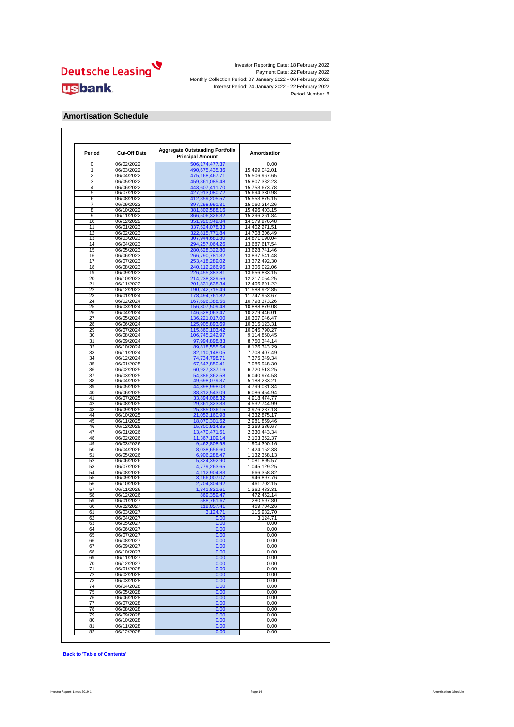

#### **Amortisation Schedule**

| Period   | <b>Cut-Off Date</b>      | <b>Aggregate Outstanding Portfolio</b><br><b>Principal Amount</b> | Amortisation                   |
|----------|--------------------------|-------------------------------------------------------------------|--------------------------------|
| $\Omega$ | 06/02/2022               | 506,174,477.37                                                    | 0.00                           |
| 1        | 06/03/2022               | 490,675,435.36                                                    | 15,499,042.01                  |
| 2        | 06/04/2022               | 475, 168, 467. 71                                                 | 15,506,967.65                  |
| 3        | 06/05/2022               | 459,361,085.48                                                    | 15,807,382.23                  |
| 4<br>5   | 06/06/2022               | 443,607,411.70                                                    | 15,753,673.78                  |
| 6        | 06/07/2022<br>06/08/2022 | 427,913,080.72<br>412,359,205.57                                  | 15,694,330.98<br>15,553,875.15 |
| 7        | 06/09/2022               | 397,298,991.31                                                    | 15,060,214.26                  |
| 8        | 06/10/2022               | 381,802,588.16                                                    | 15,496,403.15                  |
| 9        | 06/11/2022               | 366,506,326.32                                                    | 15,296,261.84                  |
| 10       | 06/12/2022               | 351,926,349.84                                                    | 14,579,976.48                  |
| 11       | 06/01/2023               | 337,524,078.33                                                    | 14,402,271.51                  |
| 12       | 06/02/2023               | 322,815,771.84                                                    | 14,708,306.49                  |
| 13       | 06/03/2023               | 307,944,681.80                                                    | 14,871,090.04                  |
| 14       | 06/04/2023               | 294,257,064.26                                                    | 13,687,617.54                  |
| 15       | 06/05/2023               | 280,628,322.80                                                    | 13,628,741.46                  |
| 16       | 06/06/2023               | 266,790,781.32                                                    | 13,837,541.48                  |
| 17       | 06/07/2023               | 253,418,289.02                                                    | 13,372,492.30                  |
| 18<br>19 | 06/08/2023               | 240,112,266.96                                                    | 13,306,022.06                  |
| 20       | 06/09/2023               | 226,455,383.81                                                    | 13,656,883.15                  |
| 21       | 06/10/2023<br>06/11/2023 | 214,238,329.56<br>201,831,638.34                                  | 12,217,054.25<br>12,406,691.22 |
| 22       | 06/12/2023               | 190,242,715.49                                                    | 11,588,922.85                  |
| 23       | 06/01/2024               | 178,494,761.82                                                    | 11,747,953.67                  |
| 24       | 06/02/2024               | 167,696,388.56                                                    | 10,798,373.26                  |
| 25       | 06/03/2024               | 156,807,509.48                                                    | 10,888,879.08                  |
| 26       | 06/04/2024               | 146,528,063.47                                                    | 10,279,446.01                  |
| 27       | 06/05/2024               | 136,221,017.00                                                    | 10,307,046.47                  |
| 28       | 06/06/2024               | 125,905,893.69                                                    | 10,315,123.31                  |
| 29       | 06/07/2024               | 115,860,103.42                                                    | 10,045,790.27                  |
| 30       | 06/08/2024               | 106,745,242.97                                                    | 9,114,860.45                   |
| 31       | 06/09/2024               | 97,994,898.83                                                     | 8,750,344.14                   |
| 32       | 06/10/2024               | 89,818,555.54                                                     | 8,176,343.29                   |
| 33       | 06/11/2024               | 82,110,148.05                                                     | 7,708,407.49                   |
| 34<br>35 | 06/12/2024               | 74,734,798.71                                                     | 7,375,349.34                   |
|          | 06/01/2025<br>06/02/2025 | 67,647,850.41<br>60,927,337.16                                    | 7,086,948.30<br>6,720,513.25   |
| 36<br>37 | 06/03/2025               |                                                                   |                                |
| 38       | 06/04/2025               | 54,886,362.58<br>49,698,079.37                                    | 6,040,974.58<br>5,188,283.21   |
| 39       | 06/05/2025               | 44,898,998.03                                                     | 4,799,081.34                   |
| 40       | 06/06/2025               | 38,812,543.09                                                     | 6,086,454.94                   |
| 41       | 06/07/2025               | 33,894,068.32                                                     | 4,918,474.77                   |
| 42       | 06/08/2025               | 29,361,323.33                                                     | 4,532,744.99                   |
| 43       | 06/09/2025               | 25,385,036.15                                                     | 3,976,287.18                   |
| 44       | 06/10/2025               | 21,052,160.98                                                     | 4,332,875.17                   |
| 45       | 06/11/2025               | 18,070,301.52                                                     | 2,981,859.46                   |
| 46       | 06/12/2025               | 15,800,914.85                                                     | 2,269,386.67                   |
| 47       | 06/01/2026               | 13,470,471.51                                                     | 2,330,443.34                   |
| 48       | 06/02/2026               | 11,367,109.14                                                     | 2,103,362.37                   |
| 49       | 06/03/2026               | 9,462,808.98                                                      | 1,904,300.16                   |
| 50       | 06/04/2026               | 8,038,656.60                                                      | 1,424,152.38                   |
| 51       | 06/05/2026               | 6,906,288.47                                                      | 1,132,368.13                   |
| 52       | 06/06/2026<br>06/07/2026 | 5,824,392.90                                                      | 1,081,895.57                   |
| 53<br>54 | 06/08/2026               | 4,779,263.65                                                      | 1,045,129.25<br>666,358.82     |
| 55       | 06/09/2026               | 4,112,904.83<br>3,166,007.07                                      | 946,897.76                     |
| 56       | 06/10/2026               | 2,704,304.92                                                      | 461,702.15                     |
| 57       | 06/11/2026               | 1,341,821.61                                                      | 1,362,483.31                   |
| 58       | 06/12/2026               | 869,359.47                                                        | 472,462.14                     |
| 59       | 06/01/2027               | 588,761.67                                                        | 280,597.80                     |
| 60       | 06/02/2027               | 119,057.41                                                        | 469,704.26                     |
| 61       | 06/03/2027               | 3,124.71                                                          | 115,932.70                     |
| 62       | 06/04/2027               |                                                                   | 3 124 71                       |
| 63       | 06/05/2027               | 0.00                                                              | 0.00                           |
| 64       | 06/06/2027               | 0.00                                                              | 0.00                           |
| 65       | 06/07/2027               | 0.00                                                              | 0.00                           |
| 66       | 06/08/2027               | 0.00                                                              | 0.00                           |
| 67       | 06/09/2027               | 0.00                                                              | 0.00                           |
| 68       | 06/10/2027               | 0.00                                                              | 0.00                           |
| 69       | 06/11/2027               | 0.00                                                              | 0.00                           |
| 70       | 06/12/2027               | 0.00                                                              | 0.00                           |
| 71       | 06/01/2028<br>06/02/2028 | 0.00                                                              | 0.00<br>0.00                   |
| 72<br>73 | 06/03/2028               | 0.00<br>0.00                                                      | 0.00                           |
| 74       | 06/04/2028               |                                                                   | 0.00                           |
| 75       | 06/05/2028               | 0.00<br>0.00                                                      | 0.00                           |
| 76       | 06/06/2028               | 0.00                                                              | 0.00                           |
| 77       | 06/07/2028               | 0.00                                                              | 0.00                           |
| 78       | 06/08/2028               | 0.00                                                              | 0.00                           |
| 79       | 06/09/2028               | 0.00                                                              | 0.00                           |
| 80       | 06/10/2028               | 0.00                                                              | 0.00                           |
| 81       | 06/11/2028               | 0.00                                                              | 0.00                           |
|          |                          |                                                                   |                                |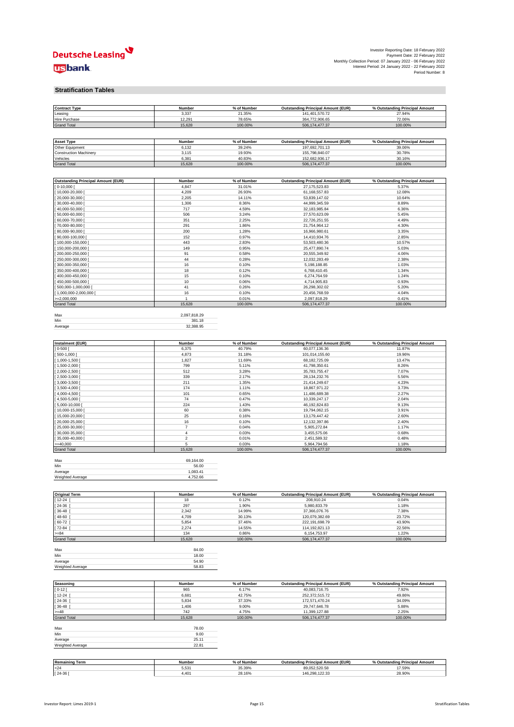

| Investor Reporting Date: 18 February 2022                     |  |
|---------------------------------------------------------------|--|
| Payment Date: 22 February 2022                                |  |
| Monthly Collection Period: 07 January 2022 - 06 February 2022 |  |
| Interest Period: 24 January 2022 - 22 February 2022           |  |
| Period Number: 8                                              |  |

#### **Stratification Tables**

| <b>Contract Type</b>                      | Number              | % of Number      | <b>Outstanding Principal Amount (EUR)</b>                   | % Outstanding Principal Amount           |
|-------------------------------------------|---------------------|------------------|-------------------------------------------------------------|------------------------------------------|
| Leasing                                   | 3,337               | 21.35%           | 141,401,570.72                                              | 27.94%                                   |
| Hire Purchase                             | 12,291              | 78.65%           | 364,772,906.65                                              | 72.06%                                   |
| <b>Grand Total</b>                        | 15,628              | 100.00%          | 506,174,477.37                                              | 100.00%                                  |
|                                           |                     |                  |                                                             |                                          |
|                                           |                     | % of Number      |                                                             |                                          |
| <b>Asset Type</b><br>Other Equipment      | Number<br>6,132     | 39.24%           | <b>Outstanding Principal Amount (EUR)</b><br>197,692,701.13 | % Outstanding Principal Amount<br>39.06% |
| <b>Construction Machinery</b>             | 3,115               | 19.93%           | 155,798,840.07                                              | 30.78%                                   |
| Vehicles                                  | 6,381               | 40.83%           | 152,682,936.17                                              | 30.16%                                   |
| <b>Grand Total</b>                        | 15,628              | 100.00%          | 506, 174, 477. 37                                           | 100.00%                                  |
|                                           |                     |                  |                                                             |                                          |
|                                           |                     |                  |                                                             |                                          |
| <b>Outstanding Principal Amount (EUR)</b> | Number              | % of Number      | <b>Outstanding Principal Amount (EUR)</b>                   | % Outstanding Principal Amount           |
| $0-10,000$                                | 4,847               | 31.01%<br>26.93% | 27, 175, 523.83                                             | 5.37%                                    |
| 10,000-20,000 [<br>20,000-30,000          | 4,209<br>2,205      | 14.11%           | 61,168,557.83<br>53,839,147.02                              | 12.08%<br>10.64%                         |
| 30,000-40,000                             | 1,306               | 8.36%            | 44,999,345.59                                               | 8.89%                                    |
| 40,000-50,000 [                           | 717                 | 4.59%            | 32, 183, 985.84                                             | 6.36%                                    |
| 50,000-60,000                             | 506                 | 3.24%            | 27,570,623.09                                               | 5.45%                                    |
| 60,000-70,000                             | 351                 | 2.25%            | 22,726,251.55                                               | 4.49%                                    |
| 70,000-80,000 [                           | 291                 | 1.86%            | 21,754,964.12                                               | 4.30%                                    |
| 80,000-90,000                             | 200                 | 1.28%            | 16,966,980.61                                               | 3.35%                                    |
| 90,000-100,000                            | 152                 | 0.97%            | 14,410,934.76                                               | 2.85%                                    |
| 100,000-150,000                           | 443                 | 2.83%            | 53,503,480.36                                               | 10.57%                                   |
| 150,000-200,000                           | 149                 | 0.95%            | 25,477,890.74                                               | 5.03%                                    |
| 200,000-250,000                           | 91                  | 0.58%            | 20,555,349.92                                               | 4.06%                                    |
| 250,000-300,000                           | 44                  | 0.28%            | 12,032,283.49                                               | 2.38%                                    |
| 300,000-350,000                           | 16                  | 0.10%            | 5,198,188.85                                                | 1.03%                                    |
| 350,000-400,000                           | 18                  | 0.12%            | 6,768,410.45                                                | 1.34%                                    |
| 400,000-450,000                           | 15                  | 0.10%            | 6,274,764.59                                                | 1.24%                                    |
| 450,000-500,000                           | 10                  | 0.06%            | 4,714,905.83                                                | 0.93%                                    |
| 500,000-1,000,000                         | 41                  | 0.26%            | 26,298,302.02                                               | 5.20%                                    |
| 1,000,000-2,000,000                       | 16                  | 0.10%            | 20,456,768.59                                               | 4.04%                                    |
| $=2,000,000$                              | $\mathbf{1}$        | 0.01%            | 2,097,818.29                                                | 0.41%                                    |
| <b>Grand Total</b>                        | 15,628              | 100.00%          | 506, 174, 477.37                                            | 100.00%                                  |
|                                           |                     |                  |                                                             |                                          |
| Max                                       | 2,097,818.29        |                  |                                                             |                                          |
| Min                                       | 381.18<br>32,388.95 |                  |                                                             |                                          |
| Average                                   |                     |                  |                                                             |                                          |
|                                           |                     |                  |                                                             |                                          |
| <b>Instalment (EUR)</b>                   | Number              | % of Number      | <b>Outstanding Principal Amount (EUR)</b>                   | % Outstanding Principal Amount           |
| $0 - 500$ [                               | 6,375               | 40.79%           | 60,077,136.36                                               | 11.87%                                   |
| 500-1,000                                 | 4,873               | 31.18%           | 101,014,155.60                                              | 19.96%                                   |
| 1,000-1,500                               | 1,827               | 11.69%           | 68, 182, 725.09                                             | 13.47%                                   |
| 1,500-2,000                               | 799                 | 5.11%            | 41,798,350.61                                               | 8.26%                                    |
| 2,000-2,500                               | 512                 | 3.28%            | 35,783,755.47                                               | 7.07%                                    |
| 2,500-3,000                               | 339                 | 2.17%            | 28, 134, 232. 76                                            | 5.56%                                    |
| $3,000-3,500$                             | 211                 | 1.35%            | 21,414,249.67                                               | 4.23%                                    |
| $3,500 - 4,000$                           | 174                 | 1.11%            | 18,867,971.22                                               | 3.73%                                    |
| 4,000-4,500                               | 101                 | 0.65%            | 11,486,689.38                                               | 2.27%                                    |
| 4,500-5,000                               | 74                  | 0.47%            | 10,339,247.17                                               | 2.04%                                    |
| 5,000-10,000                              | 224                 | 1.43%            | 46, 192, 824.83                                             | 9.13%                                    |
| 10,000-15,000<br>15,000-20,000            | 60<br>25            | 0.38%<br>0.16%   | 19,794,062.15<br>13, 179, 447. 42                           | 3.91%<br>2.60%                           |
|                                           | 16                  | 0.10%            |                                                             | 2.40%                                    |
| 20,000-25,000<br>25,000-30,000            | $\overline{7}$      | 0.04%            | 12, 132, 397.86<br>5,905,272.84                             | 1.17%                                    |
| 30,000-35,000                             | 4                   | 0.03%            | 3,455,575.06                                                | 0.68%                                    |
| 35,000-40,000                             | $\mathbf 2$         | 0.01%            | 2,451,589.32                                                | 0.48%                                    |
| $>= 40,000$                               | 5                   | 0.03%            | 5,964,794.56                                                | 1.18%                                    |
| <b>Grand Total</b>                        | 15,628              | 100.00%          | 506, 174, 477.37                                            | 100.00%                                  |
|                                           |                     |                  |                                                             |                                          |
| Max                                       | 69,164.00           |                  |                                                             |                                          |
| Min                                       | 56.00               |                  |                                                             |                                          |
| Average                                   | 1,083.41            |                  |                                                             |                                          |
| Weighted Average                          | 4,752.66            |                  |                                                             |                                          |
|                                           |                     |                  |                                                             |                                          |
| <b>Original Term</b>                      | Number              | % of Number      | <b>Outstanding Principal Amount (EUR)</b>                   | % Outstanding Principal Amount           |
| 12-24                                     | 18                  | 0.12%            | 208,910.24                                                  | 0.04%                                    |
| 24-36                                     | 297                 | 1.90%            | 5,980,833.79                                                | 1.18%                                    |
| 36-48                                     | 2,342               | 14.99%           | 37,366,076.76                                               | 7.38%                                    |
| 48-60                                     | 4,709               | 30.13%           | 120,079,382.69                                              | 23.72%                                   |
| 60-72                                     | 5,854               | 37.46%           | 222,191,698.79                                              | 43.90%                                   |
| $72 - 84$                                 | 2,274               | 14.55%           | 114,192,821.13                                              | 22.56%                                   |
| $>= 84$                                   | 134                 | 0.86%            | 6,154,753.97                                                | 1.22%                                    |
| <b>Grand Total</b>                        | 15,628              | 100.00%          | 506, 174, 477.37                                            | 100.00%                                  |
| Max                                       | 84.00               |                  |                                                             |                                          |
| Min                                       | 18.00               |                  |                                                             |                                          |
| Average                                   | 54.90               |                  |                                                             |                                          |
| Weighted Average                          | 58.83               |                  |                                                             |                                          |
|                                           |                     |                  |                                                             |                                          |
|                                           |                     |                  |                                                             |                                          |
| Seasoning                                 | Number              | % of Number      | <b>Outstanding Principal Amount (EUR)</b>                   | % Outstanding Principal Amount           |
| $0 - 12$                                  | 965                 | 6.17%            | 40,083,716.75                                               | 7.92%                                    |
| 12-24                                     | 6,681               | 42.75%           | 252,372,515.72                                              | 49.86%                                   |
| 24-36                                     | 5,834               | 37.33%           | 172,571,470.24                                              | 34.09%                                   |
| 36-48<br>$=48$                            | 1,406<br>742        | 9.00%<br>4.75%   | 29,747,646.78<br>11,399,127.88                              | 5.88%<br>2.25%                           |
| <b>Grand Total</b>                        | 15,628              | 100.00%          | 506, 174, 477.37                                            | 100.00%                                  |
|                                           |                     |                  |                                                             |                                          |
| Max                                       | 78.00               |                  |                                                             |                                          |
| Min                                       | 9.00                |                  |                                                             |                                          |
| Average                                   | 25.11               |                  |                                                             |                                          |
| Weighted Average                          | 22.81               |                  |                                                             |                                          |
|                                           |                     |                  |                                                             |                                          |
| <b>Remaining Term</b>                     | Number              | % of Number      | <b>Outstanding Principal Amount (EUR)</b>                   | % Outstanding Principal Amount           |
|                                           |                     |                  |                                                             |                                          |
| $24$                                      | 5,531               | 35.39%           | 89,052,520.58<br>146,298,122.33                             | 17.59%                                   |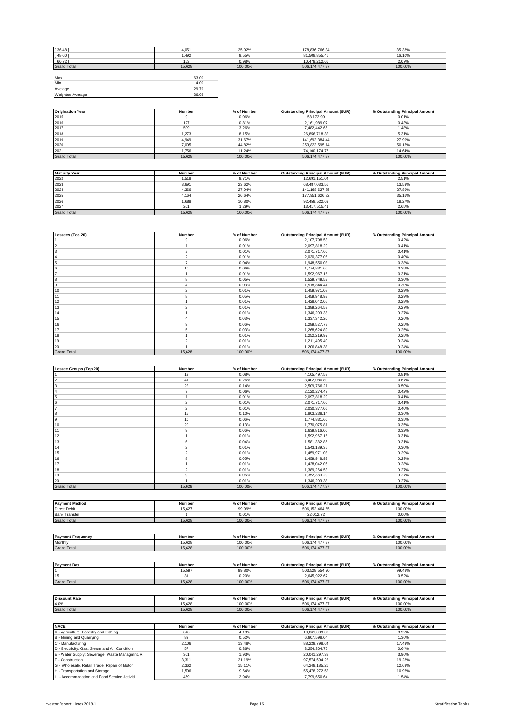| $[36 - 48]$        | 4,051  | 25.92%  | 178,836,766.34 | 35.33%  |
|--------------------|--------|---------|----------------|---------|
| $[48 - 60]$        | 1,492  | 9.55%   | 81,508,855.46  | 16.10%  |
| $[60 - 72]$        | 153    | 0.98%   | 10,478,212.66  | 2.07%   |
| <b>Grand Total</b> | 15.628 | 100.00% | 506,174,477.37 | 100.00% |
|                    |        |         |                |         |
| Max                | 63.00  |         |                |         |
| Min                | 4.00   |         |                |         |
| Average            | 29.79  |         |                |         |
| Weighted Average   | 36.02  |         |                |         |

| <b>Origination Year</b> | Number | % of Number | <b>Outstanding Principal Amount (EUR)</b> | % Outstanding Principal Amount |
|-------------------------|--------|-------------|-------------------------------------------|--------------------------------|
| 2015                    |        | 0.06%       | 58.172.99                                 | 0.01%                          |
| 2016                    | 127    | 0.81%       | 2.161.989.07                              | 0.43%                          |
| 2017                    | 509    | 3.26%       | 7.482.442.65                              | 1.48%                          |
| 2018                    | 1.273  | 8.15%       | 26,856,718.32                             | 5.31%                          |
| 2019                    | 4.949  | 31.67%      | 141,692,384.44                            | 27.99%                         |
| 2020                    | 7.005  | 44.82%      | 253,822,595.14                            | 50.15%                         |
| 2021                    | 1.756  | 11.24%      | 74.100.174.76                             | 14.64%                         |
| <b>Grand Total</b>      | 15.628 | 100.00%     | 506.174.477.37                            | 100.00%                        |

| <b>Maturity Year</b> | Number | % of Number | <b>Outstanding Principal Amount (EUR)</b> | % Outstanding Principal Amount |
|----------------------|--------|-------------|-------------------------------------------|--------------------------------|
| 2022                 | 1.518  | 9.71%       | 12.691.151.04                             | 2.51%                          |
| 2023                 | 3,691  | 23.62%      | 68.487.033.56                             | 13.53%                         |
| 2024                 | 4.366  | 27.94%      | 141.168.627.85                            | 27.89%                         |
| 2025                 | 4.164  | 26.64%      | 177.951.626.82                            | 35.16%                         |
| 2026                 | 1.688  | 10.80%      | 92.458.522.69                             | 18.27%                         |
| 2027                 | 201    | 1.29%       | 13.417.515.41                             | 2.65%                          |
| <b>Grand Total</b>   | 15.628 | 100.00%     | 506.174.477.37                            | 100.00%                        |

| Lessees (Top 20)   | Number         | % of Number | <b>Outstanding Principal Amount (EUR)</b> | % Outstanding Principal Amount |
|--------------------|----------------|-------------|-------------------------------------------|--------------------------------|
|                    | 9              | 0.06%       | 2,107,798.53                              | 0.42%                          |
| 2                  |                | 0.01%       | 2,097,818.29                              | 0.41%                          |
| 3                  | $\overline{2}$ | 0.01%       | 2,071,717.60                              | 0.41%                          |
|                    | $\overline{2}$ | 0.01%       | 2,030,377.06                              | 0.40%                          |
| 5                  | $\overline{z}$ | 0.04%       | 1,948,550.08                              | 0.38%                          |
| 6                  | 10             | 0.06%       | 1,774,831.60                              | 0.35%                          |
|                    |                | 0.01%       | 1,592,967.16                              | 0.31%                          |
| 8                  | 8              | 0.05%       | 1,529,749.52                              | 0.30%                          |
| 9                  |                | 0.03%       | 1,518,844.44                              | 0.30%                          |
| 10                 | $\overline{2}$ | 0.01%       | 1,459,971.08                              | 0.29%                          |
| 11                 | 8              | 0.05%       | 1,459,948.92                              | 0.29%                          |
| 12                 |                | 0.01%       | 1,428,042.05                              | 0.28%                          |
| 13                 | $\mathfrak{p}$ | 0.01%       | 1,389,264.53                              | 0.27%                          |
| 14                 |                | 0.01%       | 1,346,203.38                              | 0.27%                          |
| 15                 |                | 0.03%       | 1,337,342.20                              | 0.26%                          |
| 16                 | 9              | 0.06%       | 1,289,527.73                              | 0.25%                          |
| 17                 | 5              | 0.03%       | 1,268,624.89                              | 0.25%                          |
| 18                 |                | 0.01%       | 1,252,219.97                              | 0.25%                          |
| 19                 | $\overline{2}$ | 0.01%       | 1,211,495.40                              | 0.24%                          |
| 20                 |                | 0.01%       | 1,206,848.38                              | 0.24%                          |
| <b>Grand Total</b> | 15,628         | 100.00%     | 506, 174, 477.37                          | 100.00%                        |

| Lessee Groups (Top 20) | Number         | % of Number | <b>Outstanding Principal Amount (EUR)</b> | % Outstanding Principal Amount |
|------------------------|----------------|-------------|-------------------------------------------|--------------------------------|
|                        | 13             | 0.08%       | 4,105,497.53                              | 0.81%                          |
|                        | 41             | 0.26%       | 3,402,080.80                              | 0.67%                          |
|                        | 22             | 0.14%       | 2,509,766.21                              | 0.50%                          |
|                        | 9              | 0.06%       | 2,120,274.49                              | 0.42%                          |
|                        |                | 0.01%       | 2,097,818.29                              | 0.41%                          |
|                        | $\overline{2}$ | 0.01%       | 2,071,717.60                              | 0.41%                          |
|                        | $\mathfrak{p}$ | 0.01%       | 2,030,377.06                              | 0.40%                          |
| l8                     | 15             | 0.10%       | 1,803,238.14                              | 0.36%                          |
|                        | 10             | 0.06%       | 1,774,831.60                              | 0.35%                          |
| 10                     | 20             | 0.13%       | 1,770,075.81                              | 0.35%                          |
| 11                     | 9              | 0.06%       | 1,639,816.00                              | 0.32%                          |
| 12                     |                | 0.01%       | 1,592,967.16                              | 0.31%                          |
| 13                     | 6              | 0.04%       | 1,581,382.85                              | 0.31%                          |
| 14                     | $\mathfrak{p}$ | 0.01%       | 1,543,189.35                              | 0.30%                          |
| 15                     | $\overline{2}$ | 0.01%       | 1,459,971.08                              | 0.29%                          |
| 16                     | 8              | 0.05%       | 1,459,948.92                              | 0.29%                          |
| 17                     |                | 0.01%       | 1,428,042.05                              | 0.28%                          |
| 18                     | $\mathfrak{p}$ | 0.01%       | 1,389,264.53                              | 0.27%                          |
| 19                     | 9              | 0.06%       | 1.352.383.29                              | 0.27%                          |
| 20                     |                | 0.01%       | 1,346,203.38                              | 0.27%                          |
| <b>Grand Total</b>     | 15,628         | 100.00%     | 506, 174, 477.37                          | 100.00%                        |

| <b>Payment Method</b> | Number | % of Number | <b>Outstanding Principal Amount (EUR)</b> | % Outstanding Principal Amount |
|-----------------------|--------|-------------|-------------------------------------------|--------------------------------|
| <b>Direct Debit</b>   | 15.627 | 99.99%      | 506.152.464.65                            | 100.00%                        |
| <b>Bank Transfer</b>  |        | 0.01%       | 22.012.72                                 | 0.00%                          |
| <b>Grand Total</b>    | 15.628 | 100.00%     | 506.174.477.37                            | 100.00%                        |

| <b>Payment Frequency</b> | Number | % of Number | <b>Outstanding Principal Amount (EUR)</b>            | % Outstanding Principal Amount |
|--------------------------|--------|-------------|------------------------------------------------------|--------------------------------|
| Monthly                  | 15.628 | 100.00%     | 477.05<br>506<br>$\overline{\phantom{a}}$<br>.477.31 | 100.00%                        |
| <b>Grand Total</b>       | 15.628 | 100.00%     | 477.37<br>506                                        | 100.00%                        |
|                          |        |             |                                                      |                                |

| <b>Payment Day</b>   | Number | % of Number | <b>Outstanding Principal Amount (EUR)</b> | % Outstanding Principal Amount |
|----------------------|--------|-------------|-------------------------------------------|--------------------------------|
|                      | 15.597 | 99.80%      | 503.528.554.70                            | 99.48%                         |
| 15                   | 31     | 0.20%       | 2.645.922.67                              | 0.52%                          |
| <b>Grand Total</b>   | 15.628 | 100.00%     | 506.174.477.37                            | 100.00%                        |
|                      |        |             |                                           |                                |
| <b>Discount Rate</b> | Number | % of Number | <b>Outstanding Principal Amount (EUR)</b> | % Outstanding Principal Amount |
| 4.0%                 | 15.628 | 100.00%     | 506.174.477.37                            | 100.00%                        |
| <b>Grand Total</b>   | 15.628 | 100.00%     | 506.174.477.37                            | 100.00%                        |

| <b>NACE</b>                                   | Number | % of Number | <b>Outstanding Principal Amount (EUR)</b> | % Outstanding Principal Amount |
|-----------------------------------------------|--------|-------------|-------------------------------------------|--------------------------------|
| A - Agriculture, Forestry and Fishing         | 646    | 4.13%       | 19,861,089.09                             | 3.92%                          |
| B - Mining and Quarrying                      | 82     | 0.52%       | 6.907.598.04                              | 1.36%                          |
| C - Manufacturing                             | 2.106  | 13.48%      | 88.229.798.64                             | 17.43%                         |
| D - Electricity, Gas, Steam and Air Condition | 57     | 0.36%       | 3.254.304.75                              | 0.64%                          |
| E - Water Supply; Sewerage, Waste Managmnt, R | 301    | 1.93%       | 20.041.297.38                             | 3.96%                          |
| F - Construction                              | 3.311  | 21.19%      | 97.574.594.28                             | 19.28%                         |
| G - Wholesale, Retail Trade, Repair of Motor  | 2.362  | 15.11%      | 64.248.185.26                             | 12.69%                         |
| H - Transportation and Storage                | 1.506  | 9.64%       | 55.478.272.52                             | 10.96%                         |
| - Accommodation and Food Service Activiti     | 459    | 2.94%       | 7.799.650.64                              | 1.54%                          |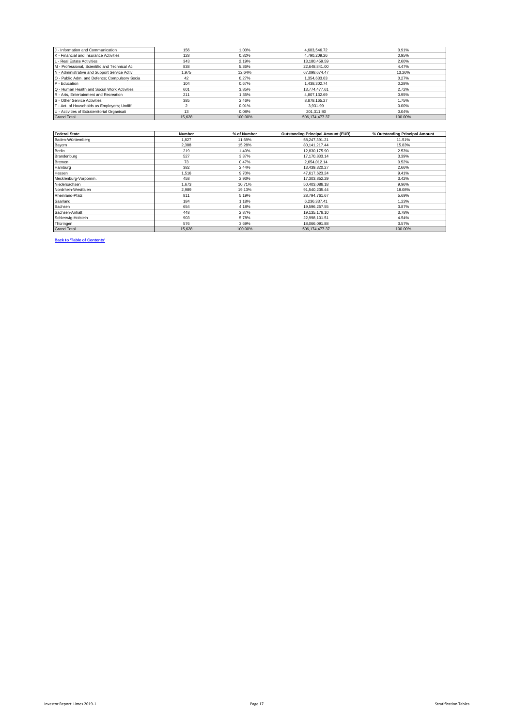| J - Information and Communication             | 156    | 1.00%   | 4.603.546.72   | 0.91%   |
|-----------------------------------------------|--------|---------|----------------|---------|
| K - Financial and Insurance Activities        | 128    | 0.82%   | 4.790.209.26   | 0.95%   |
| L - Real Estate Activities                    | 343    | 2.19%   | 13.180.459.59  | 2.60%   |
| M - Professional, Scientific and Technical Ac | 838    | 5.36%   | 22.648.841.00  | 4.47%   |
| N - Administrative and Support Service Activi | 1.975  | 12.64%  | 67.098.674.47  | 13.26%  |
| O - Public Adm. and Defence; Compulsory Socia | 42     | 0.27%   | 1.354.633.63   | 0.27%   |
| P - Education                                 | 104    | 0.67%   | 1.438.302.74   | 0.28%   |
| Q - Human Health and Social Work Activities   | 601    | 3.85%   | 13.774.477.61  | 2.72%   |
| R - Arts, Entertainment and Recreation        | 211    | 1.35%   | 4.807.132.69   | 0.95%   |
| S - Other Service Activities                  | 385    | 2.46%   | 8.878.165.27   | 1.75%   |
| T - Act. of Households as Employers; Undiff.  |        | 0.01%   | 3.931.99       | 0.00%   |
| U - Activities of Extraterritorial Organisati | 13     | 0.08%   | 201.311.80     | 0.04%   |
| <b>Grand Total</b>                            | 15,628 | 100.00% | 506.174.477.37 | 100.00% |

| <b>Federal State</b> | <b>Number</b> | % of Number | <b>Outstanding Principal Amount (EUR)</b> | % Outstanding Principal Amount |
|----------------------|---------------|-------------|-------------------------------------------|--------------------------------|
| Baden-Württemberg    | 1.827         | 11.69%      | 58.247.391.21                             | 11.51%                         |
| Bayern               | 2.388         | 15.28%      | 80, 141, 217. 44                          | 15.83%                         |
| <b>Berlin</b>        | 219           | 1.40%       | 12,830,175.90                             | 2.53%                          |
| Brandenburg          | 527           | 3.37%       | 17, 170, 833. 14                          | 3.39%                          |
| Bremen               | 73            | 0.47%       | 2,654,012.14                              | 0.52%                          |
| Hamburg              | 382           | 2.44%       | 13,439,320.27                             | 2.66%                          |
| Hessen               | 1.516         | 9.70%       | 47.617.623.24                             | 9.41%                          |
| Mecklenburg-Vorpomm. | 458           | 2.93%       | 17.303.852.29                             | 3.42%                          |
| Niedersachsen        | 1.673         | 10.71%      | 50.403.088.18                             | 9.96%                          |
| Nordrhein-Westfalen  | 2,989         | 19.13%      | 91,540,235.44                             | 18.08%                         |
| Rheinland-Pfalz      | 811           | 5.19%       | 28,794,761.67                             | 5.69%                          |
| Saarland             | 184           | 1.18%       | 6,236,337.41                              | 1.23%                          |
| Sachsen              | 654           | 4.18%       | 19.596.257.55                             | 3.87%                          |
| Sachsen-Anhalt       | 448           | 2.87%       | 19,135,178.10                             | 3.78%                          |
| Schleswig-Holstein   | 903           | 5.78%       | 22,998,101.51                             | 4.54%                          |
| Thüringen            | 576           | 3.69%       | 18,066,091.88                             | 3.57%                          |
| <b>Grand Total</b>   | 15,628        | 100.00%     | 506, 174, 477.37                          | 100.00%                        |